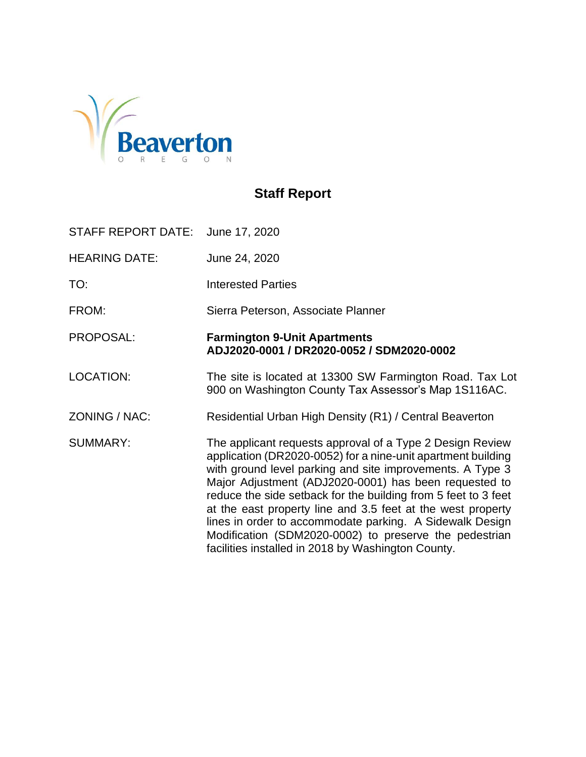

# **Staff Report**

STAFF REPORT DATE: June 17, 2020 HEARING DATE: June 24, 2020 TO: Interested Parties FROM: Sierra Peterson, Associate Planner PROPOSAL: **Farmington 9-Unit Apartments ADJ2020-0001 / DR2020-0052 / SDM2020-0002** LOCATION: The site is located at 13300 SW Farmington Road. Tax Lot 900 on Washington County Tax Assessor's Map 1S116AC. ZONING / NAC: Residential Urban High Density (R1) / Central Beaverton

SUMMARY: The applicant requests approval of a Type 2 Design Review application (DR2020-0052) for a nine-unit apartment building with ground level parking and site improvements. A Type 3 Major Adjustment (ADJ2020-0001) has been requested to reduce the side setback for the building from 5 feet to 3 feet at the east property line and 3.5 feet at the west property lines in order to accommodate parking. A Sidewalk Design Modification (SDM2020-0002) to preserve the pedestrian facilities installed in 2018 by Washington County.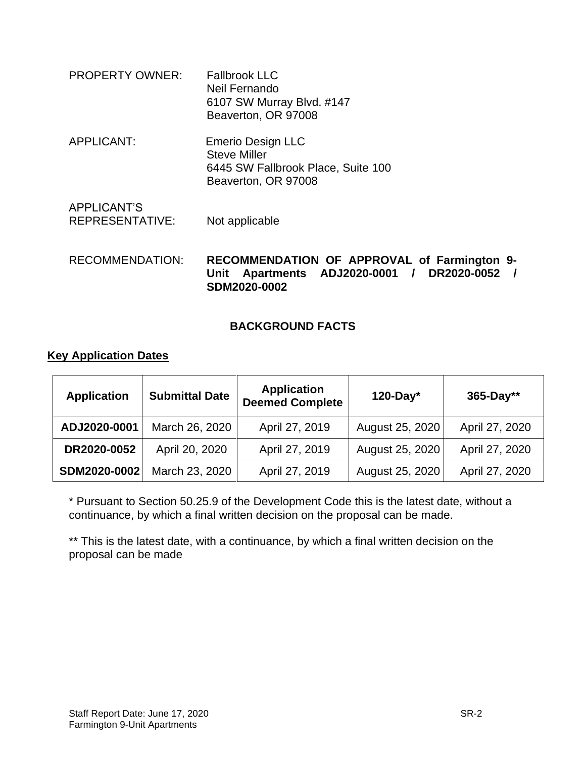PROPERTY OWNER: Fallbrook LLC Neil Fernando 6107 SW Murray Blvd. #147 Beaverton, OR 97008 APPLICANT: Emerio Design LLC Steve Miller 6445 SW Fallbrook Place, Suite 100 Beaverton, OR 97008 APPLICANT'S REPRESENTATIVE: Not applicable

#### RECOMMENDATION: **RECOMMENDATION OF APPROVAL of Farmington 9- Unit Apartments ADJ2020-0001 / DR2020-0052 / SDM2020-0002**

### **BACKGROUND FACTS**

### **Key Application Dates**

| <b>Application</b> | <b>Submittal Date</b> | <b>Application</b><br><b>Deemed Complete</b> | $120$ -Day*     | 365-Day**      |
|--------------------|-----------------------|----------------------------------------------|-----------------|----------------|
| ADJ2020-0001       | March 26, 2020        | April 27, 2019                               | August 25, 2020 | April 27, 2020 |
| DR2020-0052        | April 20, 2020        | April 27, 2019                               | August 25, 2020 | April 27, 2020 |
| SDM2020-0002       | March 23, 2020        | April 27, 2019                               | August 25, 2020 | April 27, 2020 |

\* Pursuant to Section 50.25.9 of the Development Code this is the latest date, without a continuance, by which a final written decision on the proposal can be made.

\*\* This is the latest date, with a continuance, by which a final written decision on the proposal can be made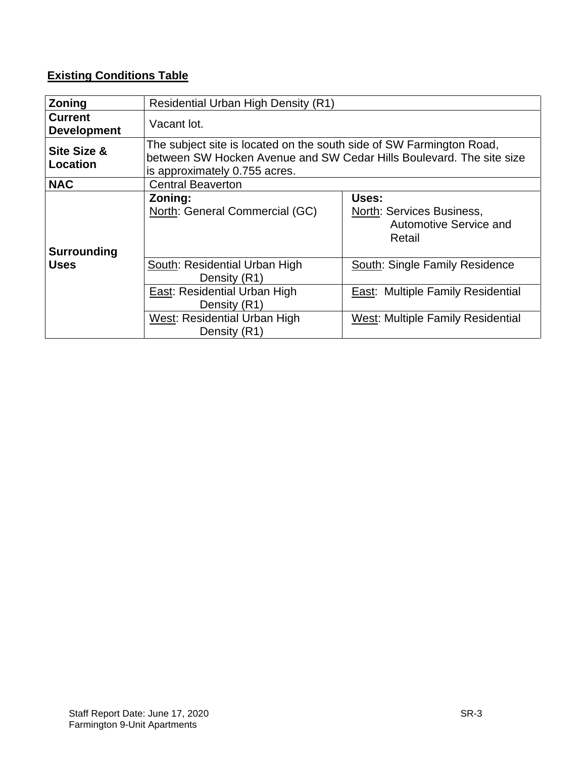# **Existing Conditions Table**

| <b>Zoning</b>                        | Residential Urban High Density (R1)                                                                                                                                           |                                                                        |  |
|--------------------------------------|-------------------------------------------------------------------------------------------------------------------------------------------------------------------------------|------------------------------------------------------------------------|--|
| <b>Current</b><br><b>Development</b> | Vacant lot.                                                                                                                                                                   |                                                                        |  |
| Site Size &<br>Location              | The subject site is located on the south side of SW Farmington Road,<br>between SW Hocken Avenue and SW Cedar Hills Boulevard. The site size<br>is approximately 0.755 acres. |                                                                        |  |
| <b>NAC</b>                           | <b>Central Beaverton</b>                                                                                                                                                      |                                                                        |  |
| <b>Surrounding</b>                   | Zoning:<br>North: General Commercial (GC)                                                                                                                                     | Uses:<br>North: Services Business,<br>Automotive Service and<br>Retail |  |
| <b>Uses</b>                          | South: Residential Urban High<br>Density (R1)                                                                                                                                 | South: Single Family Residence                                         |  |
|                                      | East: Residential Urban High<br>Density (R1)                                                                                                                                  | East: Multiple Family Residential                                      |  |
|                                      | West: Residential Urban High<br>Density (R1)                                                                                                                                  | <b>West: Multiple Family Residential</b>                               |  |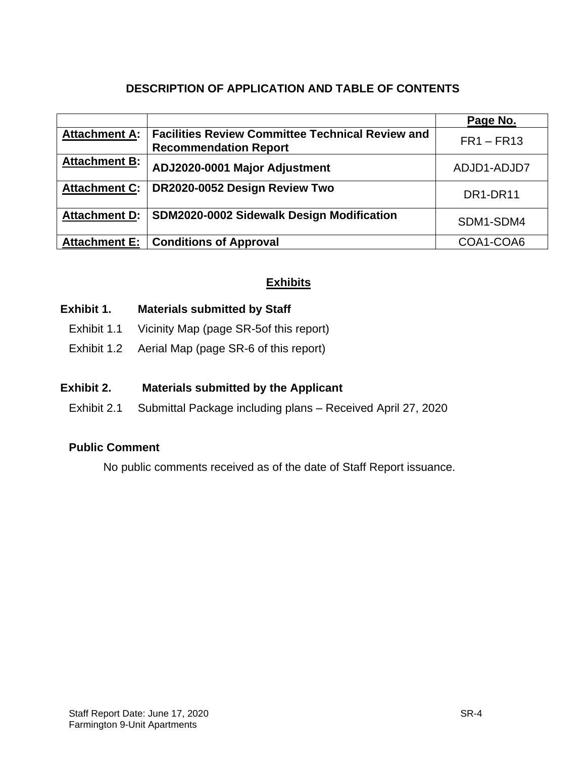## **DESCRIPTION OF APPLICATION AND TABLE OF CONTENTS**

|                      |                                                                                         | Page No.                          |
|----------------------|-----------------------------------------------------------------------------------------|-----------------------------------|
| <b>Attachment A:</b> | <b>Facilities Review Committee Technical Review and</b><br><b>Recommendation Report</b> | $FR1 - FR13$                      |
| <b>Attachment B:</b> | ADJ2020-0001 Major Adjustment                                                           | ADJD1-ADJD7                       |
| <b>Attachment C:</b> | DR2020-0052 Design Review Two                                                           | DR <sub>1</sub> -DR <sub>11</sub> |
| <b>Attachment D:</b> | SDM2020-0002 Sidewalk Design Modification                                               | SDM1-SDM4                         |
| <b>Attachment E:</b> | <b>Conditions of Approval</b>                                                           | COA1-COA6                         |

### **Exhibits**

### **Exhibit 1. Materials submitted by Staff**

- Exhibit 1.1 Vicinity Map (page SR-5of this report)
- Exhibit 1.2 Aerial Map (page SR-6 of this report)

### **Exhibit 2. Materials submitted by the Applicant**

Exhibit 2.1 Submittal Package including plans – Received April 27, 2020

### **Public Comment**

No public comments received as of the date of Staff Report issuance.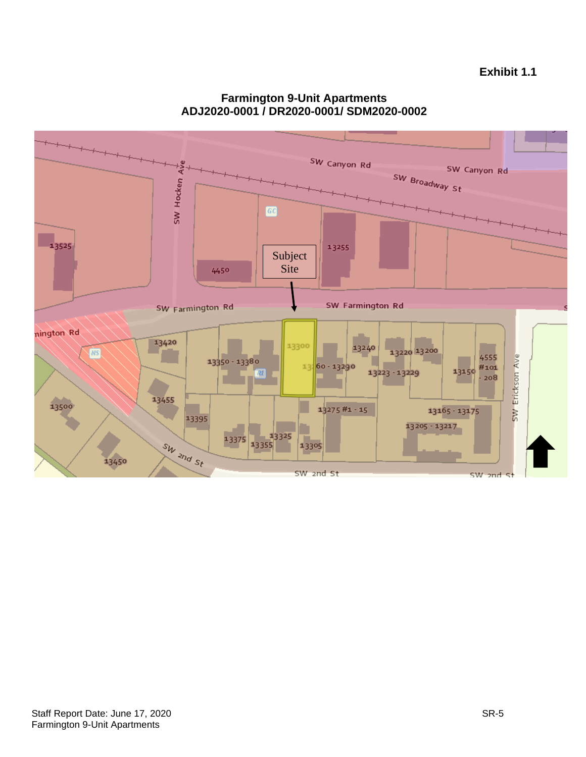

### **Farmington 9-Unit Apartments ADJ2020-0001 / DR2020-0001/ SDM2020-0002**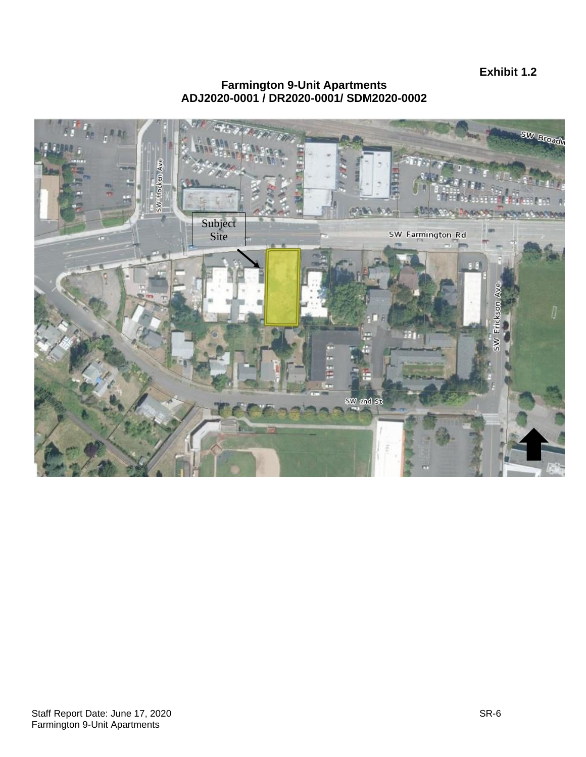**Exhibit 1.2**

#### **Farmington 9-Unit Apartments ADJ2020-0001 / DR2020-0001/ SDM2020-0002**

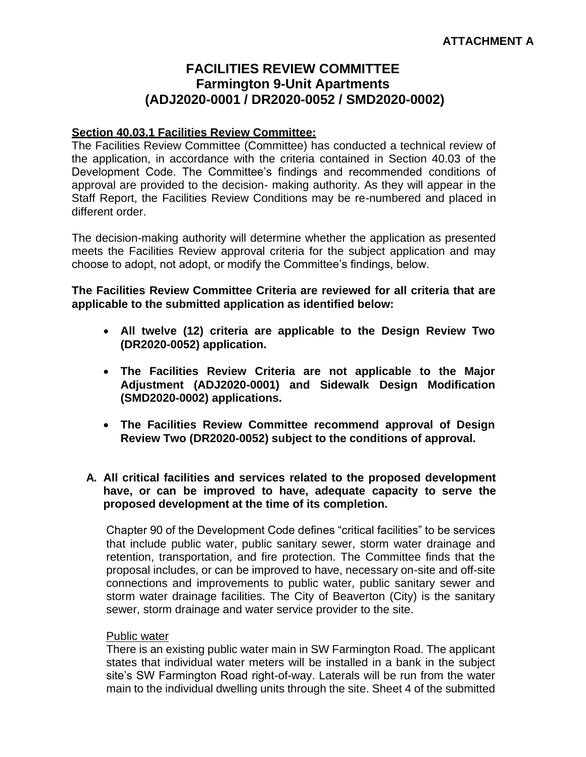# **FACILITIES REVIEW COMMITTEE Farmington 9-Unit Apartments (ADJ2020-0001 / DR2020-0052 / SMD2020-0002)**

#### **Section 40.03.1 Facilities Review Committee:**

The Facilities Review Committee (Committee) has conducted a technical review of the application, in accordance with the criteria contained in Section 40.03 of the Development Code. The Committee's findings and recommended conditions of approval are provided to the decision- making authority. As they will appear in the Staff Report, the Facilities Review Conditions may be re-numbered and placed in different order.

The decision-making authority will determine whether the application as presented meets the Facilities Review approval criteria for the subject application and may choose to adopt, not adopt, or modify the Committee's findings, below.

**The Facilities Review Committee Criteria are reviewed for all criteria that are applicable to the submitted application as identified below:**

- **All twelve (12) criteria are applicable to the Design Review Two (DR2020-0052) application.**
- **The Facilities Review Criteria are not applicable to the Major Adjustment (ADJ2020-0001) and Sidewalk Design Modification (SMD2020-0002) applications.**
- **The Facilities Review Committee recommend approval of Design Review Two (DR2020-0052) subject to the conditions of approval.**

#### **A. All critical facilities and services related to the proposed development have, or can be improved to have, adequate capacity to serve the proposed development at the time of its completion.**

Chapter 90 of the Development Code defines "critical facilities" to be services that include public water, public sanitary sewer, storm water drainage and retention, transportation, and fire protection. The Committee finds that the proposal includes, or can be improved to have, necessary on-site and off-site connections and improvements to public water, public sanitary sewer and storm water drainage facilities. The City of Beaverton (City) is the sanitary sewer, storm drainage and water service provider to the site.

#### Public water

There is an existing public water main in SW Farmington Road. The applicant states that individual water meters will be installed in a bank in the subject site's SW Farmington Road right-of-way. Laterals will be run from the water main to the individual dwelling units through the site. Sheet 4 of the submitted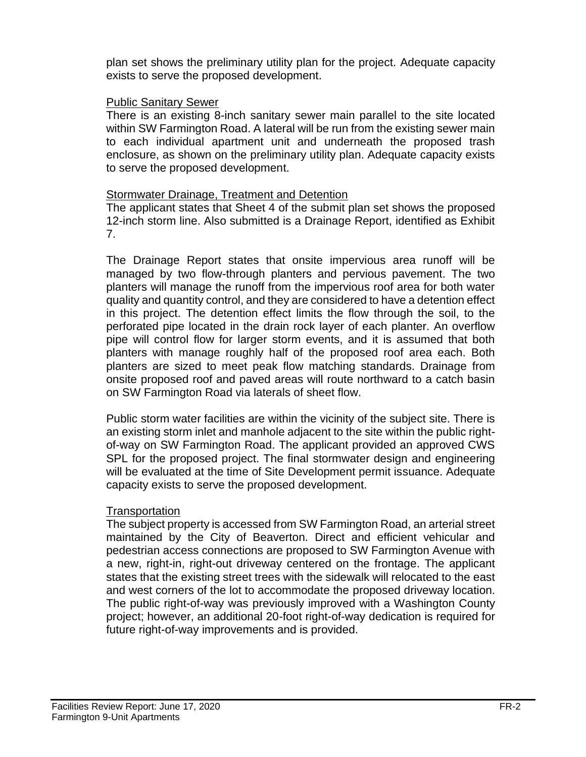plan set shows the preliminary utility plan for the project. Adequate capacity exists to serve the proposed development.

### Public Sanitary Sewer

There is an existing 8-inch sanitary sewer main parallel to the site located within SW Farmington Road. A lateral will be run from the existing sewer main to each individual apartment unit and underneath the proposed trash enclosure, as shown on the preliminary utility plan. Adequate capacity exists to serve the proposed development.

### Stormwater Drainage, Treatment and Detention

The applicant states that Sheet 4 of the submit plan set shows the proposed 12-inch storm line. Also submitted is a Drainage Report, identified as Exhibit 7.

The Drainage Report states that onsite impervious area runoff will be managed by two flow-through planters and pervious pavement. The two planters will manage the runoff from the impervious roof area for both water quality and quantity control, and they are considered to have a detention effect in this project. The detention effect limits the flow through the soil, to the perforated pipe located in the drain rock layer of each planter. An overflow pipe will control flow for larger storm events, and it is assumed that both planters with manage roughly half of the proposed roof area each. Both planters are sized to meet peak flow matching standards. Drainage from onsite proposed roof and paved areas will route northward to a catch basin on SW Farmington Road via laterals of sheet flow.

Public storm water facilities are within the vicinity of the subject site. There is an existing storm inlet and manhole adjacent to the site within the public rightof-way on SW Farmington Road. The applicant provided an approved CWS SPL for the proposed project. The final stormwater design and engineering will be evaluated at the time of Site Development permit issuance. Adequate capacity exists to serve the proposed development.

### **Transportation**

The subject property is accessed from SW Farmington Road, an arterial street maintained by the City of Beaverton. Direct and efficient vehicular and pedestrian access connections are proposed to SW Farmington Avenue with a new, right-in, right-out driveway centered on the frontage. The applicant states that the existing street trees with the sidewalk will relocated to the east and west corners of the lot to accommodate the proposed driveway location. The public right-of-way was previously improved with a Washington County project; however, an additional 20-foot right-of-way dedication is required for future right-of-way improvements and is provided.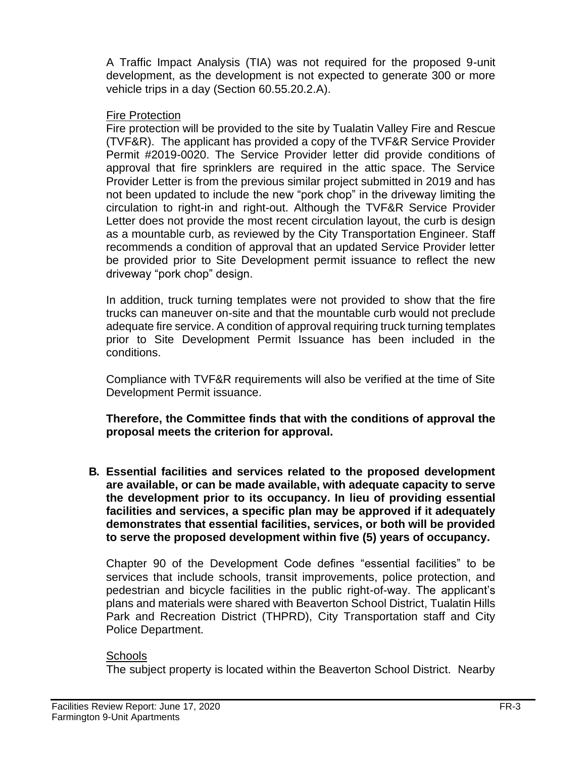A Traffic Impact Analysis (TIA) was not required for the proposed 9-unit development, as the development is not expected to generate 300 or more vehicle trips in a day (Section 60.55.20.2.A).

### Fire Protection

Fire protection will be provided to the site by Tualatin Valley Fire and Rescue (TVF&R). The applicant has provided a copy of the TVF&R Service Provider Permit #2019-0020. The Service Provider letter did provide conditions of approval that fire sprinklers are required in the attic space. The Service Provider Letter is from the previous similar project submitted in 2019 and has not been updated to include the new "pork chop" in the driveway limiting the circulation to right-in and right-out. Although the TVF&R Service Provider Letter does not provide the most recent circulation layout, the curb is design as a mountable curb, as reviewed by the City Transportation Engineer. Staff recommends a condition of approval that an updated Service Provider letter be provided prior to Site Development permit issuance to reflect the new driveway "pork chop" design.

In addition, truck turning templates were not provided to show that the fire trucks can maneuver on-site and that the mountable curb would not preclude adequate fire service. A condition of approval requiring truck turning templates prior to Site Development Permit Issuance has been included in the conditions.

Compliance with TVF&R requirements will also be verified at the time of Site Development Permit issuance.

**Therefore, the Committee finds that with the conditions of approval the proposal meets the criterion for approval.**

**B. Essential facilities and services related to the proposed development are available, or can be made available, with adequate capacity to serve the development prior to its occupancy. In lieu of providing essential facilities and services, a specific plan may be approved if it adequately demonstrates that essential facilities, services, or both will be provided to serve the proposed development within five (5) years of occupancy.**

Chapter 90 of the Development Code defines "essential facilities" to be services that include schools, transit improvements, police protection, and pedestrian and bicycle facilities in the public right-of-way. The applicant's plans and materials were shared with Beaverton School District, Tualatin Hills Park and Recreation District (THPRD), City Transportation staff and City Police Department.

### **Schools**

The subject property is located within the Beaverton School District. Nearby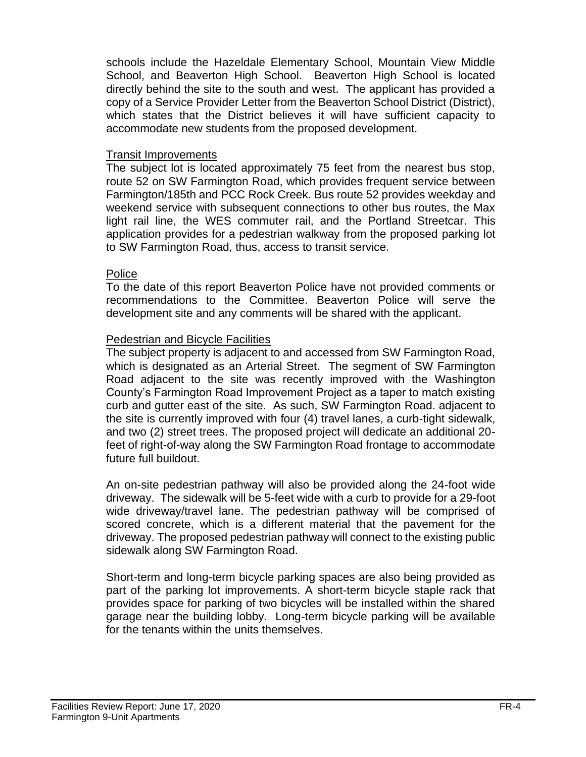schools include the Hazeldale Elementary School, Mountain View Middle School, and Beaverton High School. Beaverton High School is located directly behind the site to the south and west. The applicant has provided a copy of a Service Provider Letter from the Beaverton School District (District), which states that the District believes it will have sufficient capacity to accommodate new students from the proposed development.

#### Transit Improvements

The subject lot is located approximately 75 feet from the nearest bus stop, route 52 on SW Farmington Road, which provides frequent service between Farmington/185th and PCC Rock Creek. Bus route 52 provides weekday and weekend service with subsequent connections to other bus routes, the Max light rail line, the WES commuter rail, and the Portland Streetcar. This application provides for a pedestrian walkway from the proposed parking lot to SW Farmington Road, thus, access to transit service.

### Police

To the date of this report Beaverton Police have not provided comments or recommendations to the Committee. Beaverton Police will serve the development site and any comments will be shared with the applicant.

### Pedestrian and Bicycle Facilities

The subject property is adjacent to and accessed from SW Farmington Road, which is designated as an Arterial Street. The segment of SW Farmington Road adjacent to the site was recently improved with the Washington County's Farmington Road Improvement Project as a taper to match existing curb and gutter east of the site. As such, SW Farmington Road. adjacent to the site is currently improved with four (4) travel lanes, a curb-tight sidewalk, and two (2) street trees. The proposed project will dedicate an additional 20 feet of right-of-way along the SW Farmington Road frontage to accommodate future full buildout.

An on-site pedestrian pathway will also be provided along the 24-foot wide driveway. The sidewalk will be 5-feet wide with a curb to provide for a 29-foot wide driveway/travel lane. The pedestrian pathway will be comprised of scored concrete, which is a different material that the pavement for the driveway. The proposed pedestrian pathway will connect to the existing public sidewalk along SW Farmington Road.

Short-term and long-term bicycle parking spaces are also being provided as part of the parking lot improvements. A short-term bicycle staple rack that provides space for parking of two bicycles will be installed within the shared garage near the building lobby. Long-term bicycle parking will be available for the tenants within the units themselves.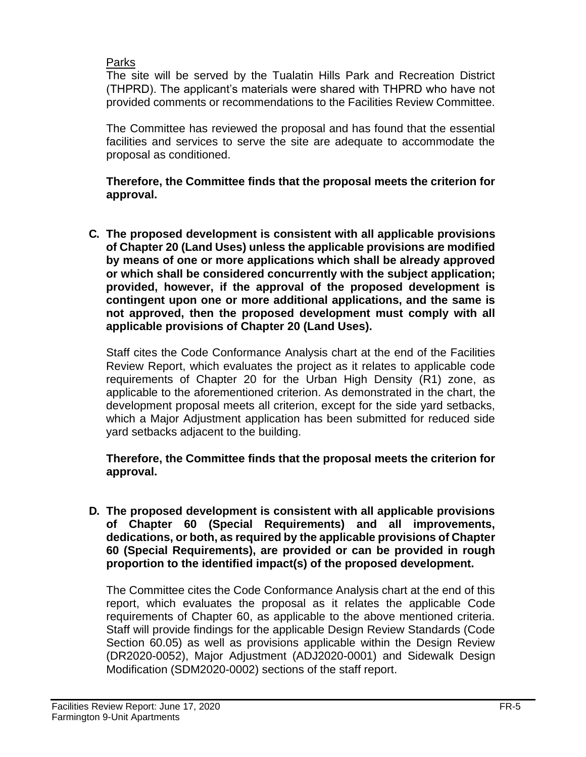### Parks

The site will be served by the Tualatin Hills Park and Recreation District (THPRD). The applicant's materials were shared with THPRD who have not provided comments or recommendations to the Facilities Review Committee.

The Committee has reviewed the proposal and has found that the essential facilities and services to serve the site are adequate to accommodate the proposal as conditioned.

**Therefore, the Committee finds that the proposal meets the criterion for approval.**

**C. The proposed development is consistent with all applicable provisions of Chapter 20 (Land Uses) unless the applicable provisions are modified by means of one or more applications which shall be already approved or which shall be considered concurrently with the subject application; provided, however, if the approval of the proposed development is contingent upon one or more additional applications, and the same is not approved, then the proposed development must comply with all applicable provisions of Chapter 20 (Land Uses).**

Staff cites the Code Conformance Analysis chart at the end of the Facilities Review Report, which evaluates the project as it relates to applicable code requirements of Chapter 20 for the Urban High Density (R1) zone, as applicable to the aforementioned criterion. As demonstrated in the chart, the development proposal meets all criterion, except for the side yard setbacks, which a Major Adjustment application has been submitted for reduced side yard setbacks adjacent to the building.

### **Therefore, the Committee finds that the proposal meets the criterion for approval.**

**D. The proposed development is consistent with all applicable provisions of Chapter 60 (Special Requirements) and all improvements, dedications, or both, as required by the applicable provisions of Chapter 60 (Special Requirements), are provided or can be provided in rough proportion to the identified impact(s) of the proposed development.** 

The Committee cites the Code Conformance Analysis chart at the end of this report, which evaluates the proposal as it relates the applicable Code requirements of Chapter 60, as applicable to the above mentioned criteria. Staff will provide findings for the applicable Design Review Standards (Code Section 60.05) as well as provisions applicable within the Design Review (DR2020-0052), Major Adjustment (ADJ2020-0001) and Sidewalk Design Modification (SDM2020-0002) sections of the staff report.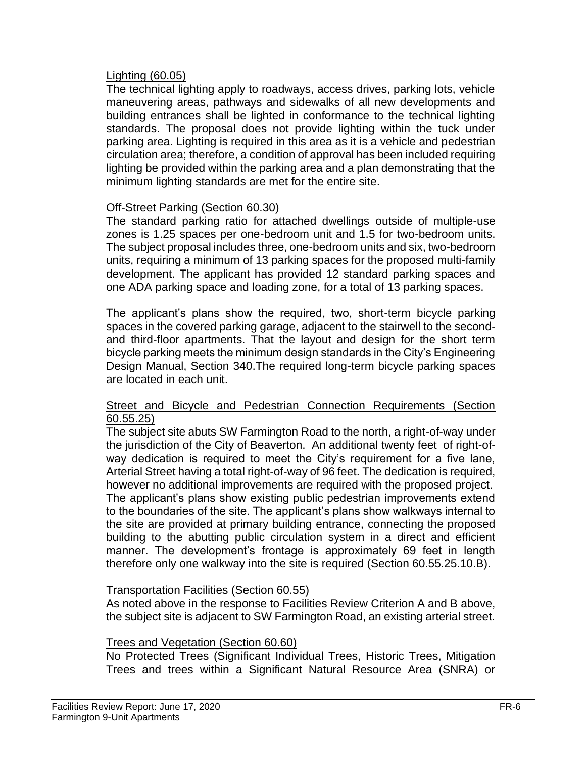### Lighting (60.05)

The technical lighting apply to roadways, access drives, parking lots, vehicle maneuvering areas, pathways and sidewalks of all new developments and building entrances shall be lighted in conformance to the technical lighting standards. The proposal does not provide lighting within the tuck under parking area. Lighting is required in this area as it is a vehicle and pedestrian circulation area; therefore, a condition of approval has been included requiring lighting be provided within the parking area and a plan demonstrating that the minimum lighting standards are met for the entire site.

### Off-Street Parking (Section 60.30)

The standard parking ratio for attached dwellings outside of multiple-use zones is 1.25 spaces per one-bedroom unit and 1.5 for two-bedroom units. The subject proposal includes three, one-bedroom units and six, two-bedroom units, requiring a minimum of 13 parking spaces for the proposed multi-family development. The applicant has provided 12 standard parking spaces and one ADA parking space and loading zone, for a total of 13 parking spaces.

The applicant's plans show the required, two, short-term bicycle parking spaces in the covered parking garage, adjacent to the stairwell to the secondand third-floor apartments. That the layout and design for the short term bicycle parking meets the minimum design standards in the City's Engineering Design Manual, Section 340.The required long-term bicycle parking spaces are located in each unit.

### Street and Bicycle and Pedestrian Connection Requirements (Section 60.55.25)

The subject site abuts SW Farmington Road to the north, a right-of-way under the jurisdiction of the City of Beaverton. An additional twenty feet of right-ofway dedication is required to meet the City's requirement for a five lane, Arterial Street having a total right-of-way of 96 feet. The dedication is required, however no additional improvements are required with the proposed project. The applicant's plans show existing public pedestrian improvements extend to the boundaries of the site. The applicant's plans show walkways internal to the site are provided at primary building entrance, connecting the proposed building to the abutting public circulation system in a direct and efficient manner. The development's frontage is approximately 69 feet in length therefore only one walkway into the site is required (Section 60.55.25.10.B).

#### Transportation Facilities (Section 60.55)

As noted above in the response to Facilities Review Criterion A and B above, the subject site is adjacent to SW Farmington Road, an existing arterial street.

### Trees and Vegetation (Section 60.60)

No Protected Trees (Significant Individual Trees, Historic Trees, Mitigation Trees and trees within a Significant Natural Resource Area (SNRA) or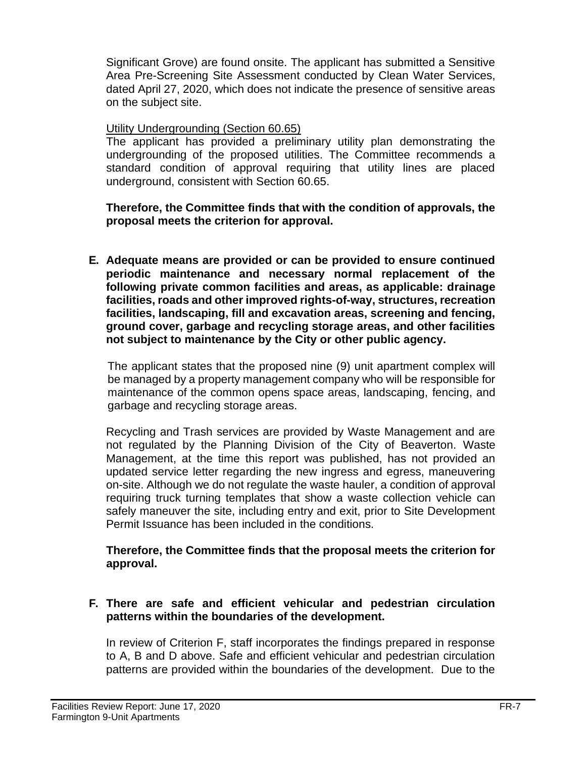Significant Grove) are found onsite. The applicant has submitted a Sensitive Area Pre-Screening Site Assessment conducted by Clean Water Services, dated April 27, 2020, which does not indicate the presence of sensitive areas on the subject site.

### Utility Undergrounding (Section 60.65)

The applicant has provided a preliminary utility plan demonstrating the undergrounding of the proposed utilities. The Committee recommends a standard condition of approval requiring that utility lines are placed underground, consistent with Section 60.65.

### **Therefore, the Committee finds that with the condition of approvals, the proposal meets the criterion for approval.**

**E. Adequate means are provided or can be provided to ensure continued periodic maintenance and necessary normal replacement of the following private common facilities and areas, as applicable: drainage facilities, roads and other improved rights-of-way, structures, recreation facilities, landscaping, fill and excavation areas, screening and fencing, ground cover, garbage and recycling storage areas, and other facilities not subject to maintenance by the City or other public agency.**

The applicant states that the proposed nine (9) unit apartment complex will be managed by a property management company who will be responsible for maintenance of the common opens space areas, landscaping, fencing, and garbage and recycling storage areas.

Recycling and Trash services are provided by Waste Management and are not regulated by the Planning Division of the City of Beaverton. Waste Management, at the time this report was published, has not provided an updated service letter regarding the new ingress and egress, maneuvering on-site. Although we do not regulate the waste hauler, a condition of approval requiring truck turning templates that show a waste collection vehicle can safely maneuver the site, including entry and exit, prior to Site Development Permit Issuance has been included in the conditions.

### **Therefore, the Committee finds that the proposal meets the criterion for approval.**

### **F. There are safe and efficient vehicular and pedestrian circulation patterns within the boundaries of the development.**

In review of Criterion F, staff incorporates the findings prepared in response to A, B and D above. Safe and efficient vehicular and pedestrian circulation patterns are provided within the boundaries of the development. Due to the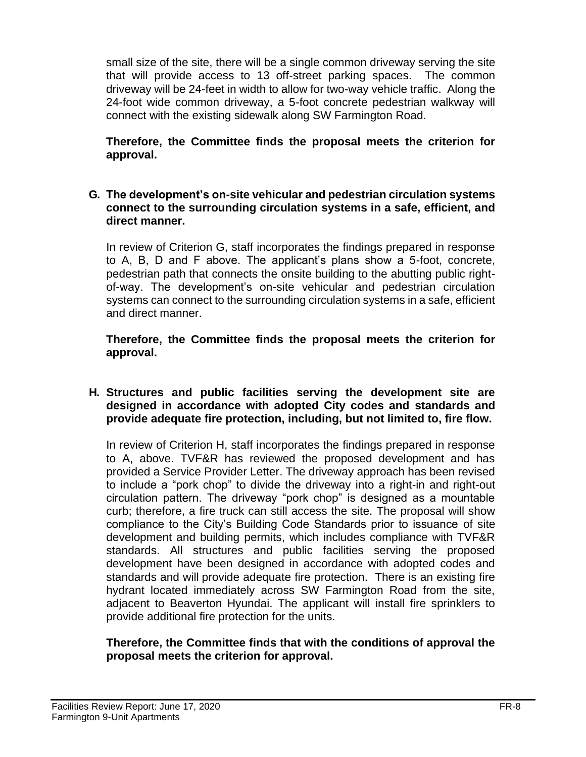small size of the site, there will be a single common driveway serving the site that will provide access to 13 off-street parking spaces. The common driveway will be 24-feet in width to allow for two-way vehicle traffic. Along the 24-foot wide common driveway, a 5-foot concrete pedestrian walkway will connect with the existing sidewalk along SW Farmington Road.

**Therefore, the Committee finds the proposal meets the criterion for approval.**

#### **G. The development's on-site vehicular and pedestrian circulation systems connect to the surrounding circulation systems in a safe, efficient, and direct manner.**

In review of Criterion G, staff incorporates the findings prepared in response to A, B, D and F above. The applicant's plans show a 5-foot, concrete, pedestrian path that connects the onsite building to the abutting public rightof-way. The development's on-site vehicular and pedestrian circulation systems can connect to the surrounding circulation systems in a safe, efficient and direct manner.

**Therefore, the Committee finds the proposal meets the criterion for approval.**

### **H. Structures and public facilities serving the development site are designed in accordance with adopted City codes and standards and provide adequate fire protection, including, but not limited to, fire flow.**

In review of Criterion H, staff incorporates the findings prepared in response to A, above. TVF&R has reviewed the proposed development and has provided a Service Provider Letter. The driveway approach has been revised to include a "pork chop" to divide the driveway into a right-in and right-out circulation pattern. The driveway "pork chop" is designed as a mountable curb; therefore, a fire truck can still access the site. The proposal will show compliance to the City's Building Code Standards prior to issuance of site development and building permits, which includes compliance with TVF&R standards. All structures and public facilities serving the proposed development have been designed in accordance with adopted codes and standards and will provide adequate fire protection. There is an existing fire hydrant located immediately across SW Farmington Road from the site, adjacent to Beaverton Hyundai. The applicant will install fire sprinklers to provide additional fire protection for the units.

### **Therefore, the Committee finds that with the conditions of approval the proposal meets the criterion for approval.**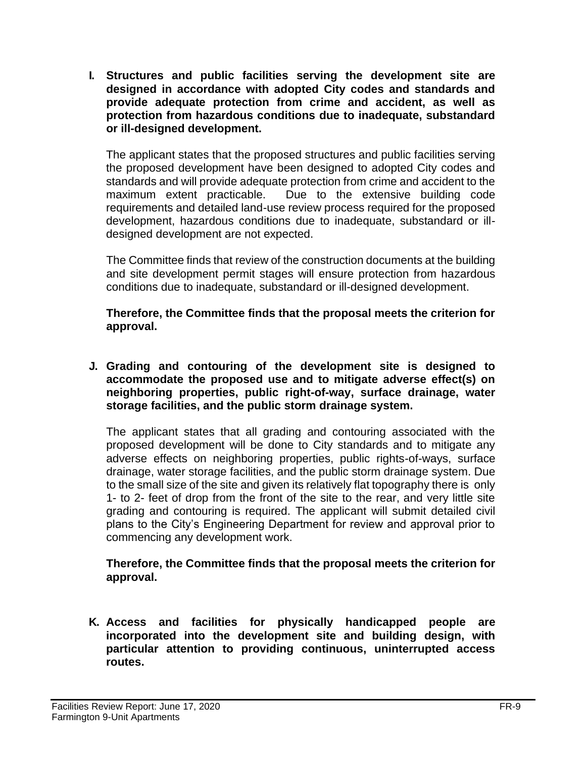**I. Structures and public facilities serving the development site are designed in accordance with adopted City codes and standards and provide adequate protection from crime and accident, as well as protection from hazardous conditions due to inadequate, substandard or ill-designed development.**

The applicant states that the proposed structures and public facilities serving the proposed development have been designed to adopted City codes and standards and will provide adequate protection from crime and accident to the maximum extent practicable. Due to the extensive building code requirements and detailed land-use review process required for the proposed development, hazardous conditions due to inadequate, substandard or illdesigned development are not expected.

The Committee finds that review of the construction documents at the building and site development permit stages will ensure protection from hazardous conditions due to inadequate, substandard or ill-designed development.

**Therefore, the Committee finds that the proposal meets the criterion for approval.**

**J. Grading and contouring of the development site is designed to accommodate the proposed use and to mitigate adverse effect(s) on neighboring properties, public right-of-way, surface drainage, water storage facilities, and the public storm drainage system.**

The applicant states that all grading and contouring associated with the proposed development will be done to City standards and to mitigate any adverse effects on neighboring properties, public rights-of-ways, surface drainage, water storage facilities, and the public storm drainage system. Due to the small size of the site and given its relatively flat topography there is only 1- to 2- feet of drop from the front of the site to the rear, and very little site grading and contouring is required. The applicant will submit detailed civil plans to the City's Engineering Department for review and approval prior to commencing any development work.

**Therefore, the Committee finds that the proposal meets the criterion for approval.**

**K. Access and facilities for physically handicapped people are incorporated into the development site and building design, with particular attention to providing continuous, uninterrupted access routes.**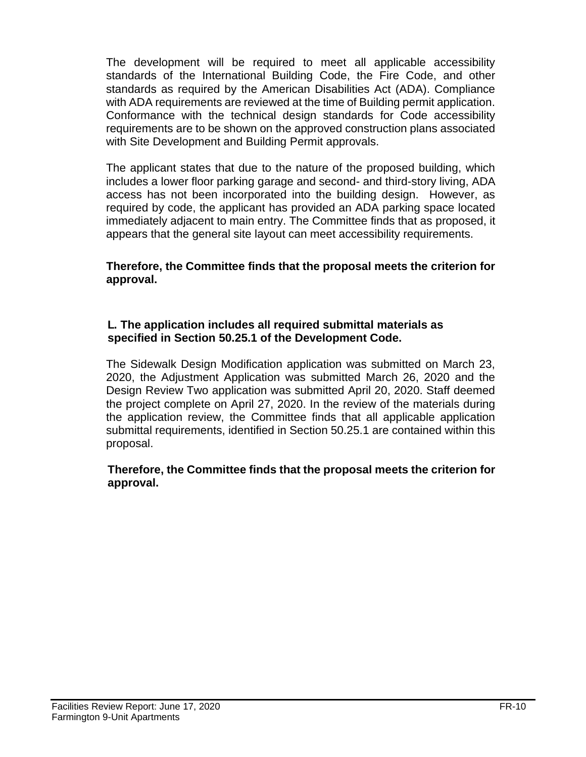The development will be required to meet all applicable accessibility standards of the International Building Code, the Fire Code, and other standards as required by the American Disabilities Act (ADA). Compliance with ADA requirements are reviewed at the time of Building permit application. Conformance with the technical design standards for Code accessibility requirements are to be shown on the approved construction plans associated with Site Development and Building Permit approvals.

The applicant states that due to the nature of the proposed building, which includes a lower floor parking garage and second- and third-story living, ADA access has not been incorporated into the building design. However, as required by code, the applicant has provided an ADA parking space located immediately adjacent to main entry. The Committee finds that as proposed, it appears that the general site layout can meet accessibility requirements.

**Therefore, the Committee finds that the proposal meets the criterion for approval.**

### **L. The application includes all required submittal materials as specified in Section 50.25.1 of the Development Code.**

The Sidewalk Design Modification application was submitted on March 23, 2020, the Adjustment Application was submitted March 26, 2020 and the Design Review Two application was submitted April 20, 2020. Staff deemed the project complete on April 27, 2020. In the review of the materials during the application review, the Committee finds that all applicable application submittal requirements, identified in Section 50.25.1 are contained within this proposal.

### **Therefore, the Committee finds that the proposal meets the criterion for approval.**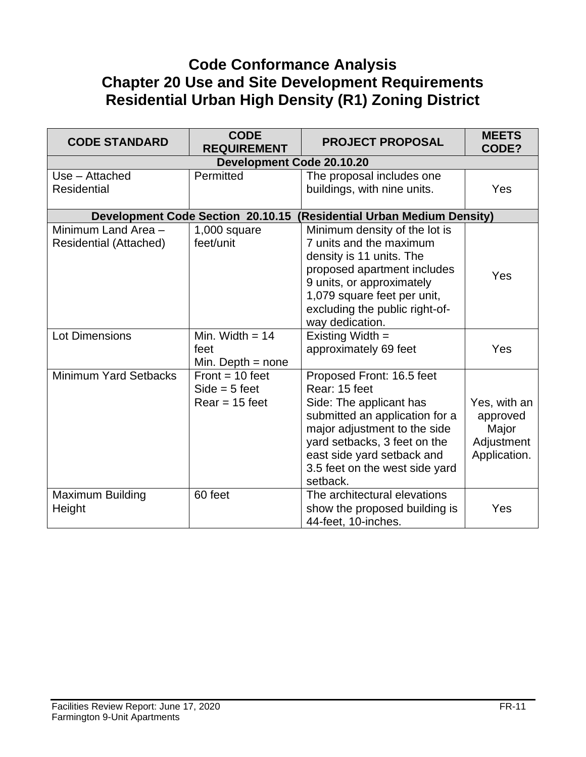# **Code Conformance Analysis Chapter 20 Use and Site Development Requirements Residential Urban High Density (R1) Zoning District**

| <b>CODE STANDARD</b>                                 | <b>CODE</b><br><b>REQUIREMENT</b>                        | <b>PROJECT PROPOSAL</b>                                                                                                                                                                                                                             | <b>MEETS</b><br>CODE?                                           |
|------------------------------------------------------|----------------------------------------------------------|-----------------------------------------------------------------------------------------------------------------------------------------------------------------------------------------------------------------------------------------------------|-----------------------------------------------------------------|
|                                                      | <b>Development Code 20.10.20</b>                         |                                                                                                                                                                                                                                                     |                                                                 |
| Use - Attached<br><b>Residential</b>                 | Permitted                                                | The proposal includes one<br>buildings, with nine units.                                                                                                                                                                                            | Yes                                                             |
|                                                      | <b>Development Code Section 20.10.15</b>                 | (Residential Urban Medium Density)                                                                                                                                                                                                                  |                                                                 |
| Minimum Land Area -<br><b>Residential (Attached)</b> | $1,000$ square<br>feet/unit                              | Minimum density of the lot is<br>7 units and the maximum<br>density is 11 units. The<br>proposed apartment includes<br>9 units, or approximately<br>1,079 square feet per unit,<br>excluding the public right-of-<br>way dedication.                | Yes                                                             |
| <b>Lot Dimensions</b>                                | Min. Width $= 14$<br>feet<br>Min. Depth $=$ none         | Existing Width =<br>approximately 69 feet                                                                                                                                                                                                           | Yes                                                             |
| <b>Minimum Yard Setbacks</b>                         | $Front = 10 feet$<br>$Side = 5 feet$<br>$Rear = 15$ feet | Proposed Front: 16.5 feet<br>Rear: 15 feet<br>Side: The applicant has<br>submitted an application for a<br>major adjustment to the side<br>yard setbacks, 3 feet on the<br>east side yard setback and<br>3.5 feet on the west side yard<br>setback. | Yes, with an<br>approved<br>Major<br>Adjustment<br>Application. |
| <b>Maximum Building</b><br>Height                    | 60 feet                                                  | The architectural elevations<br>show the proposed building is<br>44-feet, 10-inches.                                                                                                                                                                | Yes                                                             |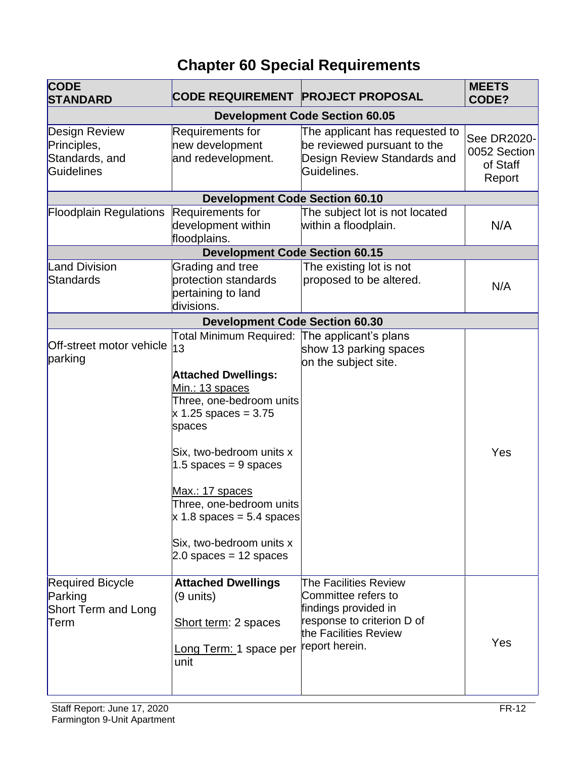# **Chapter 60 Special Requirements**

| <b>CODE</b><br><b>STANDARD</b>                                           | <b>CODE REQUIREMENT PROJECT PROPOSAL</b>                                                                                                                                                                                                                                                                                                                          |                                                                                                                                               | <b>MEETS</b><br>CODE?                             |
|--------------------------------------------------------------------------|-------------------------------------------------------------------------------------------------------------------------------------------------------------------------------------------------------------------------------------------------------------------------------------------------------------------------------------------------------------------|-----------------------------------------------------------------------------------------------------------------------------------------------|---------------------------------------------------|
|                                                                          |                                                                                                                                                                                                                                                                                                                                                                   | <b>Development Code Section 60.05</b>                                                                                                         |                                                   |
| Design Review<br>Principles,<br>Standards, and<br>Guidelines             | Requirements for<br>new development<br>and redevelopment.                                                                                                                                                                                                                                                                                                         | The applicant has requested to<br>be reviewed pursuant to the<br>Design Review Standards and<br>Guidelines.                                   | See DR2020-<br>0052 Section<br>of Staff<br>Report |
| <b>Development Code Section 60.10</b>                                    |                                                                                                                                                                                                                                                                                                                                                                   |                                                                                                                                               |                                                   |
| <b>Floodplain Regulations</b>                                            | Requirements for<br>development within<br>floodplains.                                                                                                                                                                                                                                                                                                            | The subject lot is not located<br>within a floodplain.                                                                                        | N/A                                               |
|                                                                          | <b>Development Code Section 60.15</b>                                                                                                                                                                                                                                                                                                                             |                                                                                                                                               |                                                   |
| <b>Land Division</b><br>Standards                                        | Grading and tree<br>protection standards<br>pertaining to land<br>divisions.                                                                                                                                                                                                                                                                                      | The existing lot is not<br>proposed to be altered.                                                                                            | N/A                                               |
|                                                                          | <b>Development Code Section 60.30</b>                                                                                                                                                                                                                                                                                                                             |                                                                                                                                               |                                                   |
| Off-street motor vehicle<br>parking                                      | Total Minimum Required: The applicant's plans<br>13<br><b>Attached Dwellings:</b><br>Min.: 13 spaces<br>Three, one-bedroom units<br>$x 1.25$ spaces = 3.75<br>spaces<br>Six, two-bedroom units x<br>1.5 spaces = $9$ spaces<br>Max.: 17 spaces<br>Three, one-bedroom units<br>$x$ 1.8 spaces = 5.4 spaces<br>Six, two-bedroom units x<br>$2.0$ spaces = 12 spaces | show 13 parking spaces<br>on the subject site.                                                                                                | Yes                                               |
| <b>Required Bicycle</b><br>Parking<br><b>Short Term and Long</b><br>Term | <b>Attached Dwellings</b><br>(9 units)<br>Short term: 2 spaces<br>Long Term: 1 space per<br>unit                                                                                                                                                                                                                                                                  | The Facilities Review<br>Committee refers to<br>findings provided in<br>response to criterion D of<br>the Facilities Review<br>report herein. | Yes                                               |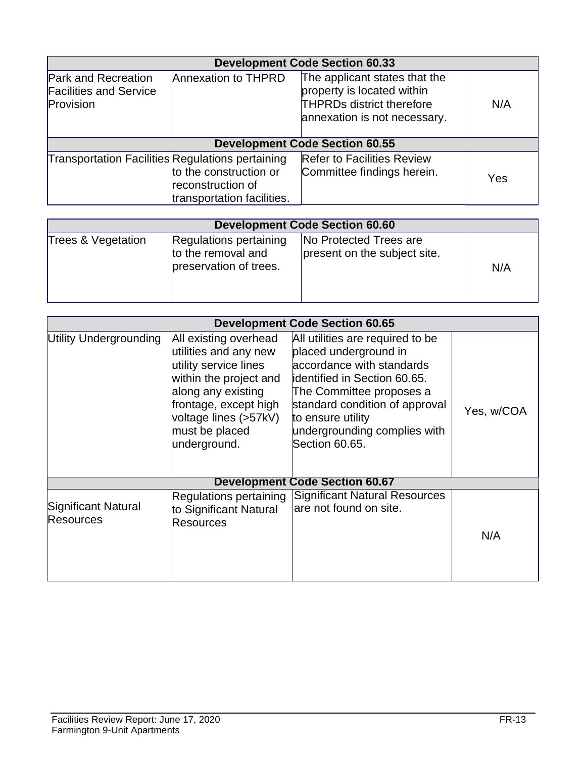| <b>Development Code Section 60.33</b>                                    |                                                                           |                                                                                                                                 |     |
|--------------------------------------------------------------------------|---------------------------------------------------------------------------|---------------------------------------------------------------------------------------------------------------------------------|-----|
| <b>Park and Recreation</b><br><b>Facilities and Service</b><br>Provision | <b>Annexation to THPRD</b>                                                | The applicant states that the<br>property is located within<br><b>THPRDs district therefore</b><br>annexation is not necessary. | N/A |
|                                                                          |                                                                           | <b>Development Code Section 60.55</b>                                                                                           |     |
| <b>Transportation Facilities Regulations pertaining</b>                  | to the construction or<br>reconstruction of<br>transportation facilities. | <b>Refer to Facilities Review</b><br>Committee findings herein.                                                                 | Yes |

| <b>Development Code Section 60.60</b> |                                                                        |                                                        |     |
|---------------------------------------|------------------------------------------------------------------------|--------------------------------------------------------|-----|
| Trees & Vegetation                    | Regulations pertaining<br>to the removal and<br>preservation of trees. | No Protected Trees are<br>present on the subject site. | N/A |

|                                         | <b>Development Code Section 60.65</b>                                                                                                                                                                       |                                                                                                                                                                                                                                                             |            |  |
|-----------------------------------------|-------------------------------------------------------------------------------------------------------------------------------------------------------------------------------------------------------------|-------------------------------------------------------------------------------------------------------------------------------------------------------------------------------------------------------------------------------------------------------------|------------|--|
| Utility Undergrounding                  | All existing overhead<br>utilities and any new<br>utility service lines<br>within the project and<br>along any existing<br>frontage, except high<br>voltage lines (>57kV)<br>must be placed<br>underground. | All utilities are required to be<br>placed underground in<br>accordance with standards<br>identified in Section 60.65.<br>The Committee proposes a<br>standard condition of approval<br>to ensure utility<br>undergrounding complies with<br>Section 60.65. | Yes, w/COA |  |
|                                         |                                                                                                                                                                                                             | <b>Development Code Section 60.67</b>                                                                                                                                                                                                                       |            |  |
| Significant Natural<br><b>Resources</b> | Regulations pertaining<br>to Significant Natural<br>Resources                                                                                                                                               | <b>Significant Natural Resources</b><br>are not found on site.                                                                                                                                                                                              | N/A        |  |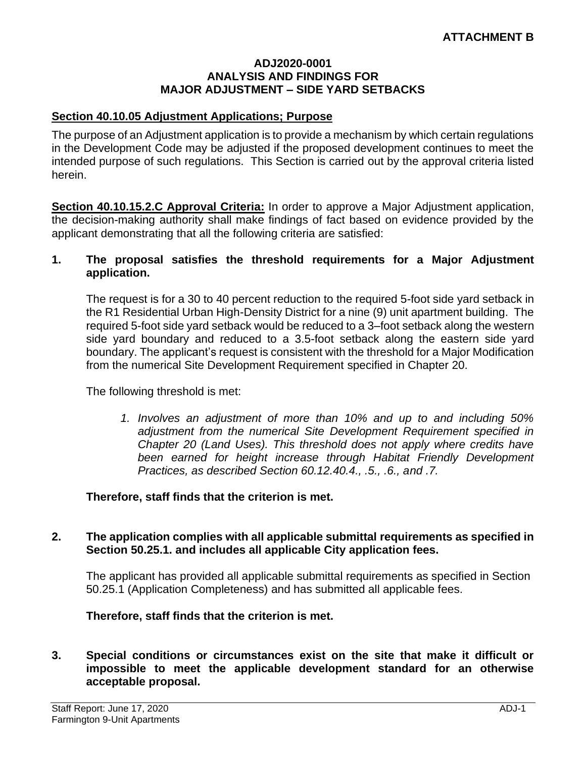#### **ADJ2020-0001 ANALYSIS AND FINDINGS FOR MAJOR ADJUSTMENT – SIDE YARD SETBACKS**

#### **Section 40.10.05 Adjustment Applications; Purpose**

The purpose of an Adjustment application is to provide a mechanism by which certain regulations in the Development Code may be adjusted if the proposed development continues to meet the intended purpose of such regulations. This Section is carried out by the approval criteria listed herein.

**Section 40.10.15.2.C Approval Criteria:** In order to approve a Major Adjustment application, the decision-making authority shall make findings of fact based on evidence provided by the applicant demonstrating that all the following criteria are satisfied:

#### **1. The proposal satisfies the threshold requirements for a Major Adjustment application.**

The request is for a 30 to 40 percent reduction to the required 5-foot side yard setback in the R1 Residential Urban High-Density District for a nine (9) unit apartment building. The required 5-foot side yard setback would be reduced to a 3–foot setback along the western side yard boundary and reduced to a 3.5-foot setback along the eastern side yard boundary. The applicant's request is consistent with the threshold for a Major Modification from the numerical Site Development Requirement specified in Chapter 20.

The following threshold is met:

*1. Involves an adjustment of more than 10% and up to and including 50% adjustment from the numerical Site Development Requirement specified in Chapter 20 (Land Uses). This threshold does not apply where credits have been earned for height increase through Habitat Friendly Development Practices, as described Section 60.12.40.4., .5., .6., and .7.*

#### **Therefore, staff finds that the criterion is met.**

#### **2. The application complies with all applicable submittal requirements as specified in Section 50.25.1. and includes all applicable City application fees.**

The applicant has provided all applicable submittal requirements as specified in Section 50.25.1 (Application Completeness) and has submitted all applicable fees.

#### **Therefore, staff finds that the criterion is met.**

#### **3. Special conditions or circumstances exist on the site that make it difficult or impossible to meet the applicable development standard for an otherwise acceptable proposal.**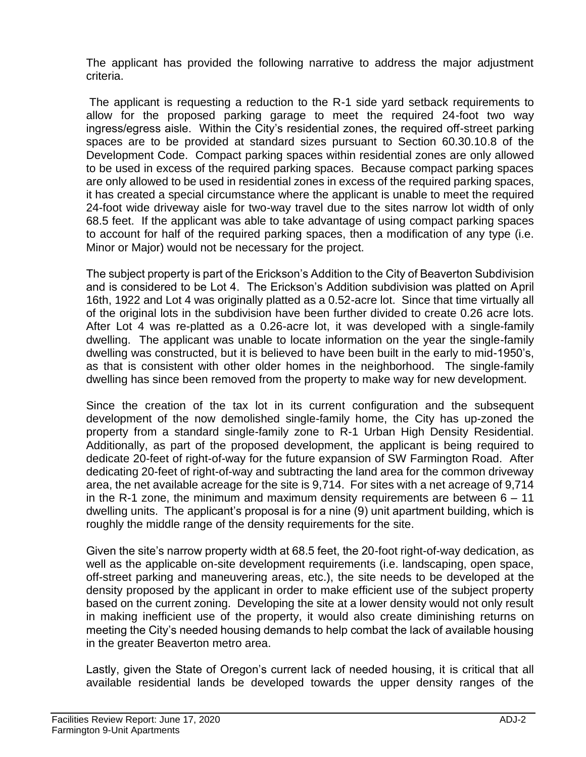The applicant has provided the following narrative to address the major adjustment criteria.

The applicant is requesting a reduction to the R-1 side yard setback requirements to allow for the proposed parking garage to meet the required 24-foot two way ingress/egress aisle. Within the City's residential zones, the required off-street parking spaces are to be provided at standard sizes pursuant to Section 60.30.10.8 of the Development Code. Compact parking spaces within residential zones are only allowed to be used in excess of the required parking spaces. Because compact parking spaces are only allowed to be used in residential zones in excess of the required parking spaces, it has created a special circumstance where the applicant is unable to meet the required 24-foot wide driveway aisle for two-way travel due to the sites narrow lot width of only 68.5 feet. If the applicant was able to take advantage of using compact parking spaces to account for half of the required parking spaces, then a modification of any type (i.e. Minor or Major) would not be necessary for the project.

The subject property is part of the Erickson's Addition to the City of Beaverton Subdivision and is considered to be Lot 4. The Erickson's Addition subdivision was platted on April 16th, 1922 and Lot 4 was originally platted as a 0.52-acre lot. Since that time virtually all of the original lots in the subdivision have been further divided to create 0.26 acre lots. After Lot 4 was re-platted as a 0.26-acre lot, it was developed with a single-family dwelling. The applicant was unable to locate information on the year the single-family dwelling was constructed, but it is believed to have been built in the early to mid-1950's, as that is consistent with other older homes in the neighborhood. The single-family dwelling has since been removed from the property to make way for new development.

Since the creation of the tax lot in its current configuration and the subsequent development of the now demolished single-family home, the City has up-zoned the property from a standard single-family zone to R-1 Urban High Density Residential. Additionally, as part of the proposed development, the applicant is being required to dedicate 20-feet of right-of-way for the future expansion of SW Farmington Road. After dedicating 20-feet of right-of-way and subtracting the land area for the common driveway area, the net available acreage for the site is 9,714. For sites with a net acreage of 9,714 in the R-1 zone, the minimum and maximum density requirements are between  $6 - 11$ dwelling units. The applicant's proposal is for a nine (9) unit apartment building, which is roughly the middle range of the density requirements for the site.

Given the site's narrow property width at 68.5 feet, the 20-foot right-of-way dedication, as well as the applicable on-site development requirements (i.e. landscaping, open space, off-street parking and maneuvering areas, etc.), the site needs to be developed at the density proposed by the applicant in order to make efficient use of the subject property based on the current zoning. Developing the site at a lower density would not only result in making inefficient use of the property, it would also create diminishing returns on meeting the City's needed housing demands to help combat the lack of available housing in the greater Beaverton metro area.

Lastly, given the State of Oregon's current lack of needed housing, it is critical that all available residential lands be developed towards the upper density ranges of the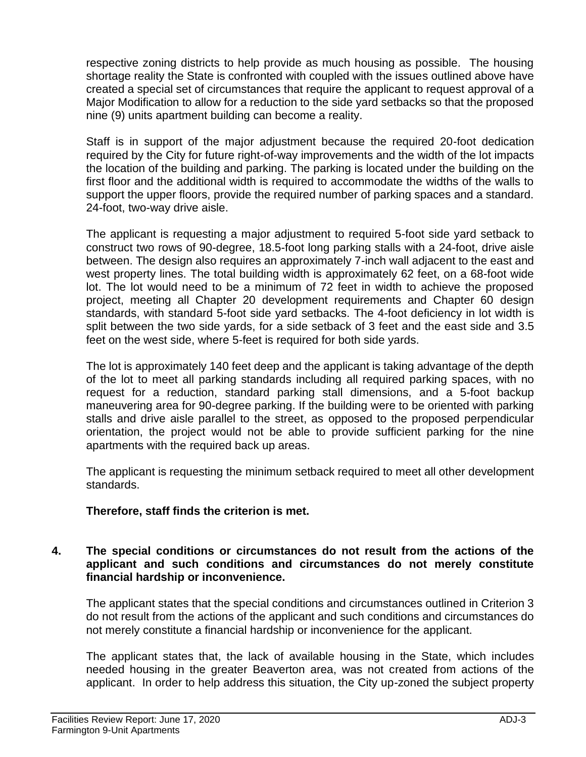respective zoning districts to help provide as much housing as possible. The housing shortage reality the State is confronted with coupled with the issues outlined above have created a special set of circumstances that require the applicant to request approval of a Major Modification to allow for a reduction to the side yard setbacks so that the proposed nine (9) units apartment building can become a reality.

Staff is in support of the major adjustment because the required 20-foot dedication required by the City for future right-of-way improvements and the width of the lot impacts the location of the building and parking. The parking is located under the building on the first floor and the additional width is required to accommodate the widths of the walls to support the upper floors, provide the required number of parking spaces and a standard. 24-foot, two-way drive aisle.

The applicant is requesting a major adjustment to required 5-foot side yard setback to construct two rows of 90-degree, 18.5-foot long parking stalls with a 24-foot, drive aisle between. The design also requires an approximately 7-inch wall adjacent to the east and west property lines. The total building width is approximately 62 feet, on a 68-foot wide lot. The lot would need to be a minimum of 72 feet in width to achieve the proposed project, meeting all Chapter 20 development requirements and Chapter 60 design standards, with standard 5-foot side yard setbacks. The 4-foot deficiency in lot width is split between the two side yards, for a side setback of 3 feet and the east side and 3.5 feet on the west side, where 5-feet is required for both side yards.

The lot is approximately 140 feet deep and the applicant is taking advantage of the depth of the lot to meet all parking standards including all required parking spaces, with no request for a reduction, standard parking stall dimensions, and a 5-foot backup maneuvering area for 90-degree parking. If the building were to be oriented with parking stalls and drive aisle parallel to the street, as opposed to the proposed perpendicular orientation, the project would not be able to provide sufficient parking for the nine apartments with the required back up areas.

The applicant is requesting the minimum setback required to meet all other development standards.

### **Therefore, staff finds the criterion is met.**

### **4. The special conditions or circumstances do not result from the actions of the applicant and such conditions and circumstances do not merely constitute financial hardship or inconvenience.**

The applicant states that the special conditions and circumstances outlined in Criterion 3 do not result from the actions of the applicant and such conditions and circumstances do not merely constitute a financial hardship or inconvenience for the applicant.

The applicant states that, the lack of available housing in the State, which includes needed housing in the greater Beaverton area, was not created from actions of the applicant. In order to help address this situation, the City up-zoned the subject property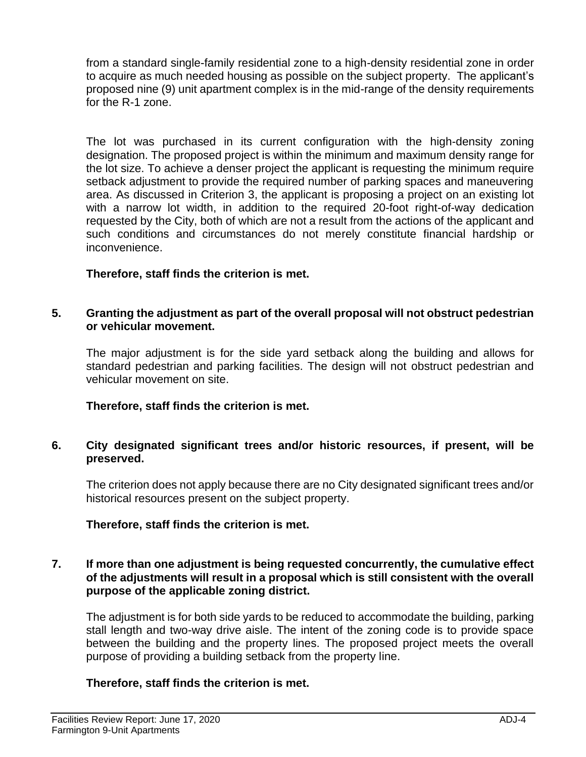from a standard single-family residential zone to a high-density residential zone in order to acquire as much needed housing as possible on the subject property. The applicant's proposed nine (9) unit apartment complex is in the mid-range of the density requirements for the R-1 zone.

The lot was purchased in its current configuration with the high-density zoning designation. The proposed project is within the minimum and maximum density range for the lot size. To achieve a denser project the applicant is requesting the minimum require setback adjustment to provide the required number of parking spaces and maneuvering area. As discussed in Criterion 3, the applicant is proposing a project on an existing lot with a narrow lot width, in addition to the required 20-foot right-of-way dedication requested by the City, both of which are not a result from the actions of the applicant and such conditions and circumstances do not merely constitute financial hardship or inconvenience.

### **Therefore, staff finds the criterion is met.**

#### **5. Granting the adjustment as part of the overall proposal will not obstruct pedestrian or vehicular movement.**

The major adjustment is for the side yard setback along the building and allows for standard pedestrian and parking facilities. The design will not obstruct pedestrian and vehicular movement on site.

### **Therefore, staff finds the criterion is met.**

### **6. City designated significant trees and/or historic resources, if present, will be preserved.**

The criterion does not apply because there are no City designated significant trees and/or historical resources present on the subject property.

# **Therefore, staff finds the criterion is met.**

### **7. If more than one adjustment is being requested concurrently, the cumulative effect of the adjustments will result in a proposal which is still consistent with the overall purpose of the applicable zoning district.**

The adjustment is for both side yards to be reduced to accommodate the building, parking stall length and two-way drive aisle. The intent of the zoning code is to provide space between the building and the property lines. The proposed project meets the overall purpose of providing a building setback from the property line.

# **Therefore, staff finds the criterion is met.**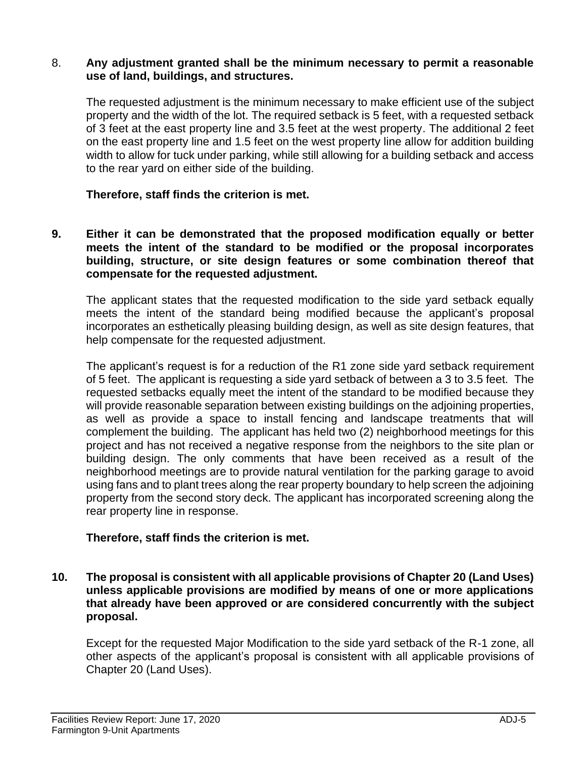#### 8. **Any adjustment granted shall be the minimum necessary to permit a reasonable use of land, buildings, and structures.**

The requested adjustment is the minimum necessary to make efficient use of the subject property and the width of the lot. The required setback is 5 feet, with a requested setback of 3 feet at the east property line and 3.5 feet at the west property. The additional 2 feet on the east property line and 1.5 feet on the west property line allow for addition building width to allow for tuck under parking, while still allowing for a building setback and access to the rear yard on either side of the building.

### **Therefore, staff finds the criterion is met.**

**9. Either it can be demonstrated that the proposed modification equally or better meets the intent of the standard to be modified or the proposal incorporates building, structure, or site design features or some combination thereof that compensate for the requested adjustment.**

The applicant states that the requested modification to the side yard setback equally meets the intent of the standard being modified because the applicant's proposal incorporates an esthetically pleasing building design, as well as site design features, that help compensate for the requested adjustment.

The applicant's request is for a reduction of the R1 zone side yard setback requirement of 5 feet. The applicant is requesting a side yard setback of between a 3 to 3.5 feet. The requested setbacks equally meet the intent of the standard to be modified because they will provide reasonable separation between existing buildings on the adjoining properties, as well as provide a space to install fencing and landscape treatments that will complement the building. The applicant has held two (2) neighborhood meetings for this project and has not received a negative response from the neighbors to the site plan or building design. The only comments that have been received as a result of the neighborhood meetings are to provide natural ventilation for the parking garage to avoid using fans and to plant trees along the rear property boundary to help screen the adjoining property from the second story deck. The applicant has incorporated screening along the rear property line in response.

#### **Therefore, staff finds the criterion is met.**

**10. The proposal is consistent with all applicable provisions of Chapter 20 (Land Uses) unless applicable provisions are modified by means of one or more applications that already have been approved or are considered concurrently with the subject proposal.**

Except for the requested Major Modification to the side yard setback of the R-1 zone, all other aspects of the applicant's proposal is consistent with all applicable provisions of Chapter 20 (Land Uses).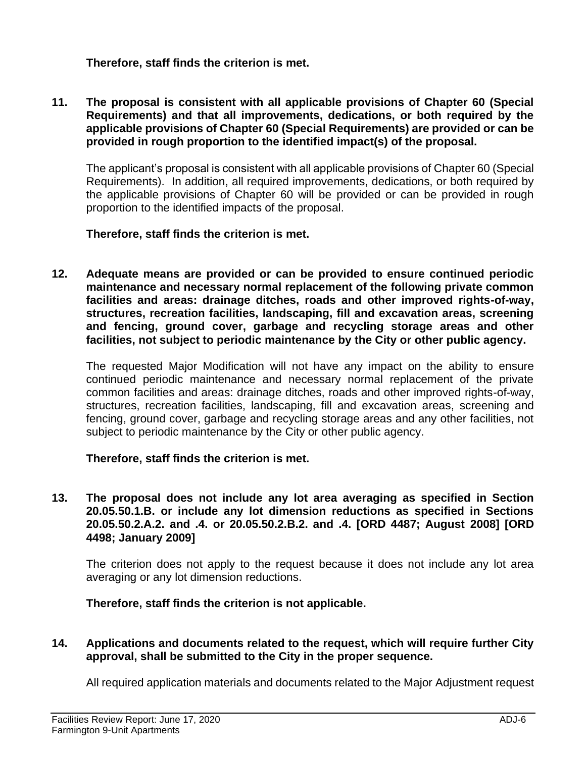**Therefore, staff finds the criterion is met.** 

**11. The proposal is consistent with all applicable provisions of Chapter 60 (Special Requirements) and that all improvements, dedications, or both required by the applicable provisions of Chapter 60 (Special Requirements) are provided or can be provided in rough proportion to the identified impact(s) of the proposal.**

The applicant's proposal is consistent with all applicable provisions of Chapter 60 (Special Requirements). In addition, all required improvements, dedications, or both required by the applicable provisions of Chapter 60 will be provided or can be provided in rough proportion to the identified impacts of the proposal.

### **Therefore, staff finds the criterion is met.**

**12. Adequate means are provided or can be provided to ensure continued periodic maintenance and necessary normal replacement of the following private common facilities and areas: drainage ditches, roads and other improved rights-of-way, structures, recreation facilities, landscaping, fill and excavation areas, screening and fencing, ground cover, garbage and recycling storage areas and other facilities, not subject to periodic maintenance by the City or other public agency.**

The requested Major Modification will not have any impact on the ability to ensure continued periodic maintenance and necessary normal replacement of the private common facilities and areas: drainage ditches, roads and other improved rights-of-way, structures, recreation facilities, landscaping, fill and excavation areas, screening and fencing, ground cover, garbage and recycling storage areas and any other facilities, not subject to periodic maintenance by the City or other public agency.

### **Therefore, staff finds the criterion is met.**

**13. The proposal does not include any lot area averaging as specified in Section 20.05.50.1.B. or include any lot dimension reductions as specified in Sections 20.05.50.2.A.2. and .4. or 20.05.50.2.B.2. and .4. [ORD 4487; August 2008] [ORD 4498; January 2009]**

The criterion does not apply to the request because it does not include any lot area averaging or any lot dimension reductions.

### **Therefore, staff finds the criterion is not applicable.**

**14. Applications and documents related to the request, which will require further City approval, shall be submitted to the City in the proper sequence.**

All required application materials and documents related to the Major Adjustment request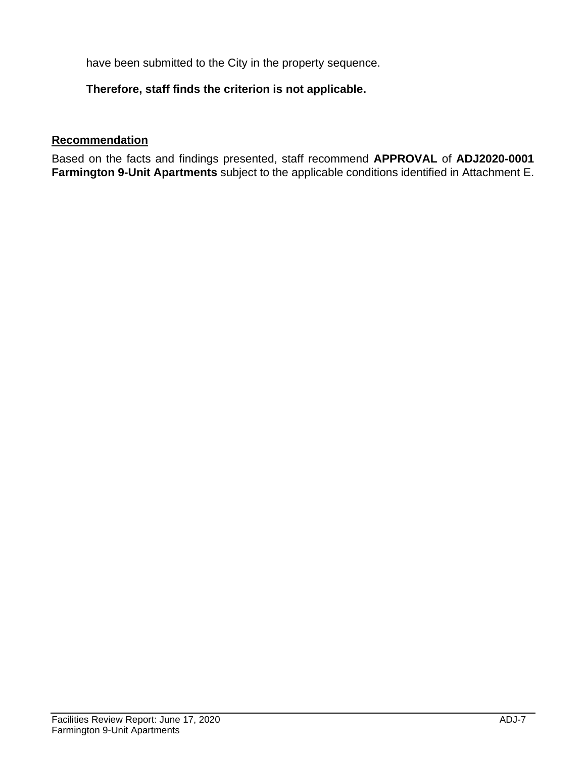have been submitted to the City in the property sequence.

### **Therefore, staff finds the criterion is not applicable.**

### **Recommendation**

Based on the facts and findings presented, staff recommend **APPROVAL** of **ADJ2020-0001 Farmington 9-Unit Apartments** subject to the applicable conditions identified in Attachment E.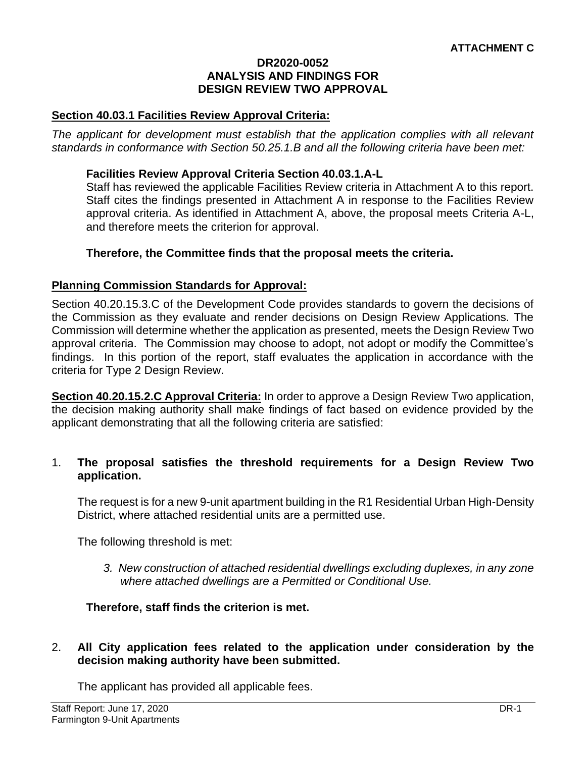#### **DR2020-0052 ANALYSIS AND FINDINGS FOR DESIGN REVIEW TWO APPROVAL**

#### **Section 40.03.1 Facilities Review Approval Criteria:**

*The applicant for development must establish that the application complies with all relevant standards in conformance with Section 50.25.1.B and all the following criteria have been met:* 

#### **Facilities Review Approval Criteria Section 40.03.1.A-L**

Staff has reviewed the applicable Facilities Review criteria in Attachment A to this report. Staff cites the findings presented in Attachment A in response to the Facilities Review approval criteria. As identified in Attachment A, above, the proposal meets Criteria A-L, and therefore meets the criterion for approval.

#### **Therefore, the Committee finds that the proposal meets the criteria.**

#### **Planning Commission Standards for Approval:**

Section 40.20.15.3.C of the Development Code provides standards to govern the decisions of the Commission as they evaluate and render decisions on Design Review Applications. The Commission will determine whether the application as presented, meets the Design Review Two approval criteria. The Commission may choose to adopt, not adopt or modify the Committee's findings. In this portion of the report, staff evaluates the application in accordance with the criteria for Type 2 Design Review.

**Section 40.20.15.2.C Approval Criteria:** In order to approve a Design Review Two application, the decision making authority shall make findings of fact based on evidence provided by the applicant demonstrating that all the following criteria are satisfied:

#### 1. **The proposal satisfies the threshold requirements for a Design Review Two application.**

The request is for a new 9-unit apartment building in the R1 Residential Urban High-Density District, where attached residential units are a permitted use.

The following threshold is met:

*3. New construction of attached residential dwellings excluding duplexes, in any zone where attached dwellings are a Permitted or Conditional Use.*

#### **Therefore, staff finds the criterion is met.**

#### 2. **All City application fees related to the application under consideration by the decision making authority have been submitted.**

The applicant has provided all applicable fees.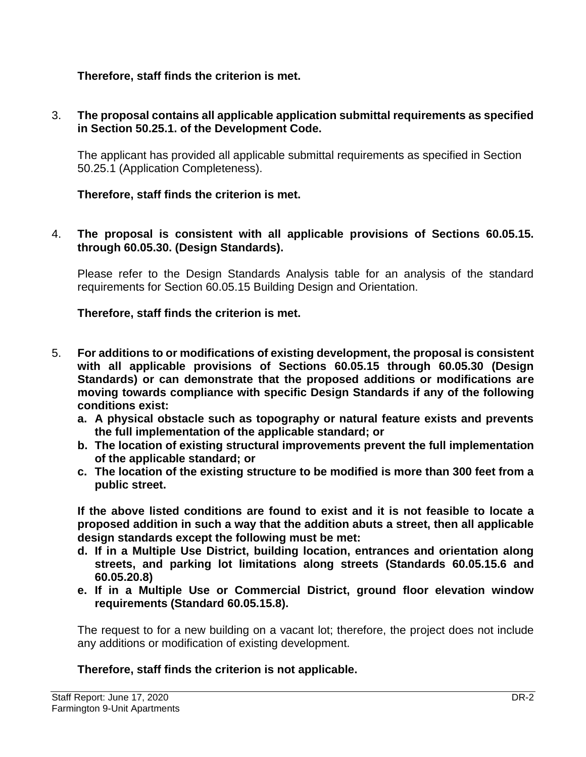### **Therefore, staff finds the criterion is met.**

### 3. **The proposal contains all applicable application submittal requirements as specified in Section 50.25.1. of the Development Code.**

The applicant has provided all applicable submittal requirements as specified in Section 50.25.1 (Application Completeness).

### **Therefore, staff finds the criterion is met.**

4. **The proposal is consistent with all applicable provisions of Sections 60.05.15. through 60.05.30. (Design Standards).**

Please refer to the Design Standards Analysis table for an analysis of the standard requirements for Section 60.05.15 Building Design and Orientation.

### **Therefore, staff finds the criterion is met.**

- 5. **For additions to or modifications of existing development, the proposal is consistent with all applicable provisions of Sections 60.05.15 through 60.05.30 (Design Standards) or can demonstrate that the proposed additions or modifications are moving towards compliance with specific Design Standards if any of the following conditions exist:**
	- **a. A physical obstacle such as topography or natural feature exists and prevents the full implementation of the applicable standard; or**
	- **b. The location of existing structural improvements prevent the full implementation of the applicable standard; or**
	- **c. The location of the existing structure to be modified is more than 300 feet from a public street.**

**If the above listed conditions are found to exist and it is not feasible to locate a proposed addition in such a way that the addition abuts a street, then all applicable design standards except the following must be met:** 

- **d. If in a Multiple Use District, building location, entrances and orientation along streets, and parking lot limitations along streets (Standards 60.05.15.6 and 60.05.20.8)**
- **e. If in a Multiple Use or Commercial District, ground floor elevation window requirements (Standard 60.05.15.8).**

The request to for a new building on a vacant lot; therefore, the project does not include any additions or modification of existing development.

### **Therefore, staff finds the criterion is not applicable.**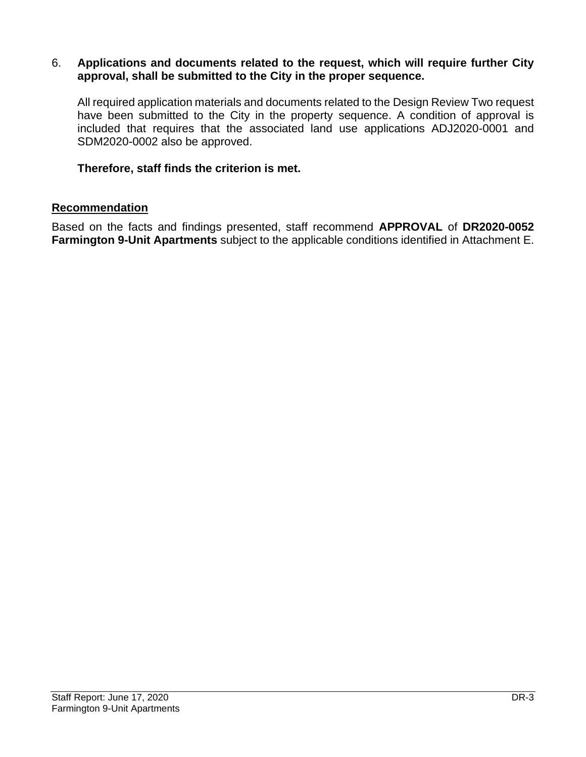#### 6. **Applications and documents related to the request, which will require further City approval, shall be submitted to the City in the proper sequence.**

All required application materials and documents related to the Design Review Two request have been submitted to the City in the property sequence. A condition of approval is included that requires that the associated land use applications ADJ2020-0001 and SDM2020-0002 also be approved.

#### **Therefore, staff finds the criterion is met.**

#### **Recommendation**

Based on the facts and findings presented, staff recommend **APPROVAL** of **DR2020-0052 Farmington 9-Unit Apartments** subject to the applicable conditions identified in Attachment E.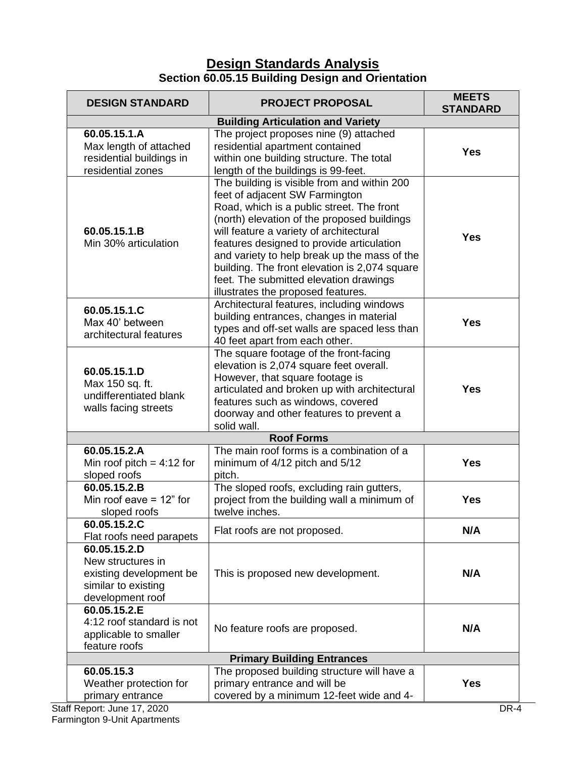# **Design Standards Analysis Section 60.05.15 Building Design and Orientation**

| <b>DESIGN STANDARD</b>                                                                                  | <b>PROJECT PROPOSAL</b>                                                                                                                                                                                                                                                                                                                                                                                                                            | <b>MEETS</b><br><b>STANDARD</b> |  |  |
|---------------------------------------------------------------------------------------------------------|----------------------------------------------------------------------------------------------------------------------------------------------------------------------------------------------------------------------------------------------------------------------------------------------------------------------------------------------------------------------------------------------------------------------------------------------------|---------------------------------|--|--|
|                                                                                                         | <b>Building Articulation and Variety</b>                                                                                                                                                                                                                                                                                                                                                                                                           |                                 |  |  |
| 60.05.15.1.A<br>Max length of attached<br>residential buildings in<br>residential zones                 | The project proposes nine (9) attached<br>residential apartment contained<br>within one building structure. The total<br>length of the buildings is 99-feet.                                                                                                                                                                                                                                                                                       | <b>Yes</b>                      |  |  |
| 60.05.15.1.B<br>Min 30% articulation                                                                    | The building is visible from and within 200<br>feet of adjacent SW Farmington<br>Road, which is a public street. The front<br>(north) elevation of the proposed buildings<br>will feature a variety of architectural<br>features designed to provide articulation<br>and variety to help break up the mass of the<br>building. The front elevation is 2,074 square<br>feet. The submitted elevation drawings<br>illustrates the proposed features. | <b>Yes</b>                      |  |  |
| 60.05.15.1.C<br>Max 40' between<br>architectural features                                               | Architectural features, including windows<br>building entrances, changes in material<br>types and off-set walls are spaced less than<br>40 feet apart from each other.                                                                                                                                                                                                                                                                             | <b>Yes</b>                      |  |  |
| 60.05.15.1.D<br>Max 150 sq. ft.<br>undifferentiated blank<br>walls facing streets                       | The square footage of the front-facing<br>elevation is 2,074 square feet overall.<br>However, that square footage is<br>articulated and broken up with architectural<br>features such as windows, covered<br>doorway and other features to prevent a<br>solid wall.                                                                                                                                                                                | <b>Yes</b>                      |  |  |
|                                                                                                         | <b>Roof Forms</b>                                                                                                                                                                                                                                                                                                                                                                                                                                  |                                 |  |  |
| 60.05.15.2.A<br>Min roof pitch = $4:12$ for<br>sloped roofs                                             | The main roof forms is a combination of a<br>minimum of 4/12 pitch and 5/12<br>pitch.                                                                                                                                                                                                                                                                                                                                                              | <b>Yes</b>                      |  |  |
| 60.05.15.2.B<br>Min roof eave $= 12$ " for<br>sloped roofs                                              | The sloped roofs, excluding rain gutters,<br>project from the building wall a minimum of<br>twelve inches.                                                                                                                                                                                                                                                                                                                                         | <b>Yes</b>                      |  |  |
| 60.05.15.2.C<br>Flat roofs need parapets                                                                | Flat roofs are not proposed.                                                                                                                                                                                                                                                                                                                                                                                                                       | N/A                             |  |  |
| 60.05.15.2.D<br>New structures in<br>existing development be<br>similar to existing<br>development roof | This is proposed new development.                                                                                                                                                                                                                                                                                                                                                                                                                  | N/A                             |  |  |
| 60.05.15.2.E<br>4:12 roof standard is not<br>applicable to smaller<br>feature roofs                     | No feature roofs are proposed.                                                                                                                                                                                                                                                                                                                                                                                                                     | N/A                             |  |  |
| <b>Primary Building Entrances</b>                                                                       |                                                                                                                                                                                                                                                                                                                                                                                                                                                    |                                 |  |  |
| 60.05.15.3<br>Weather protection for<br>primary entrance                                                | The proposed building structure will have a<br>primary entrance and will be<br>covered by a minimum 12-feet wide and 4-                                                                                                                                                                                                                                                                                                                            | <b>Yes</b>                      |  |  |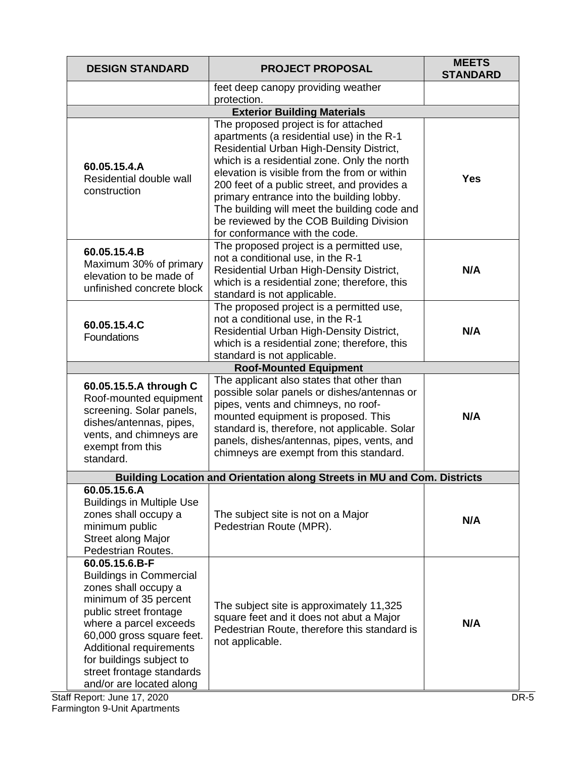| <b>DESIGN STANDARD</b>                                                                                                                                                                                                                                                                             | <b>PROJECT PROPOSAL</b>                                                                                                                                                                                                                                                                                                                                                                                                                                | <b>MEETS</b><br><b>STANDARD</b> |
|----------------------------------------------------------------------------------------------------------------------------------------------------------------------------------------------------------------------------------------------------------------------------------------------------|--------------------------------------------------------------------------------------------------------------------------------------------------------------------------------------------------------------------------------------------------------------------------------------------------------------------------------------------------------------------------------------------------------------------------------------------------------|---------------------------------|
|                                                                                                                                                                                                                                                                                                    | feet deep canopy providing weather<br>protection.                                                                                                                                                                                                                                                                                                                                                                                                      |                                 |
|                                                                                                                                                                                                                                                                                                    | <b>Exterior Building Materials</b>                                                                                                                                                                                                                                                                                                                                                                                                                     |                                 |
| 60.05.15.4.A<br>Residential double wall<br>construction                                                                                                                                                                                                                                            | The proposed project is for attached<br>apartments (a residential use) in the R-1<br>Residential Urban High-Density District,<br>which is a residential zone. Only the north<br>elevation is visible from the from or within<br>200 feet of a public street, and provides a<br>primary entrance into the building lobby.<br>The building will meet the building code and<br>be reviewed by the COB Building Division<br>for conformance with the code. | <b>Yes</b>                      |
| 60.05.15.4.B<br>Maximum 30% of primary<br>elevation to be made of<br>unfinished concrete block                                                                                                                                                                                                     | The proposed project is a permitted use,<br>not a conditional use, in the R-1<br>Residential Urban High-Density District,<br>which is a residential zone; therefore, this<br>standard is not applicable.                                                                                                                                                                                                                                               | N/A                             |
| 60.05.15.4.C<br>Foundations                                                                                                                                                                                                                                                                        | The proposed project is a permitted use,<br>not a conditional use, in the R-1<br>Residential Urban High-Density District,<br>which is a residential zone; therefore, this<br>standard is not applicable.                                                                                                                                                                                                                                               | N/A                             |
|                                                                                                                                                                                                                                                                                                    | <b>Roof-Mounted Equipment</b>                                                                                                                                                                                                                                                                                                                                                                                                                          |                                 |
| 60.05.15.5.A through C<br>Roof-mounted equipment<br>screening. Solar panels,<br>dishes/antennas, pipes,<br>vents, and chimneys are<br>exempt from this<br>standard.                                                                                                                                | The applicant also states that other than<br>possible solar panels or dishes/antennas or<br>pipes, vents and chimneys, no roof-<br>mounted equipment is proposed. This<br>standard is, therefore, not applicable. Solar<br>panels, dishes/antennas, pipes, vents, and<br>chimneys are exempt from this standard.                                                                                                                                       | N/A                             |
|                                                                                                                                                                                                                                                                                                    | Building Location and Orientation along Streets in MU and Com. Districts                                                                                                                                                                                                                                                                                                                                                                               |                                 |
| 60.05.15.6.A<br><b>Buildings in Multiple Use</b><br>zones shall occupy a<br>minimum public<br><b>Street along Major</b><br>Pedestrian Routes.                                                                                                                                                      | The subject site is not on a Major<br>Pedestrian Route (MPR).                                                                                                                                                                                                                                                                                                                                                                                          | N/A                             |
| 60.05.15.6.B-F<br><b>Buildings in Commercial</b><br>zones shall occupy a<br>minimum of 35 percent<br>public street frontage<br>where a parcel exceeds<br>60,000 gross square feet.<br>Additional requirements<br>for buildings subject to<br>street frontage standards<br>and/or are located along | The subject site is approximately 11,325<br>square feet and it does not abut a Major<br>Pedestrian Route, therefore this standard is<br>not applicable.                                                                                                                                                                                                                                                                                                | N/A                             |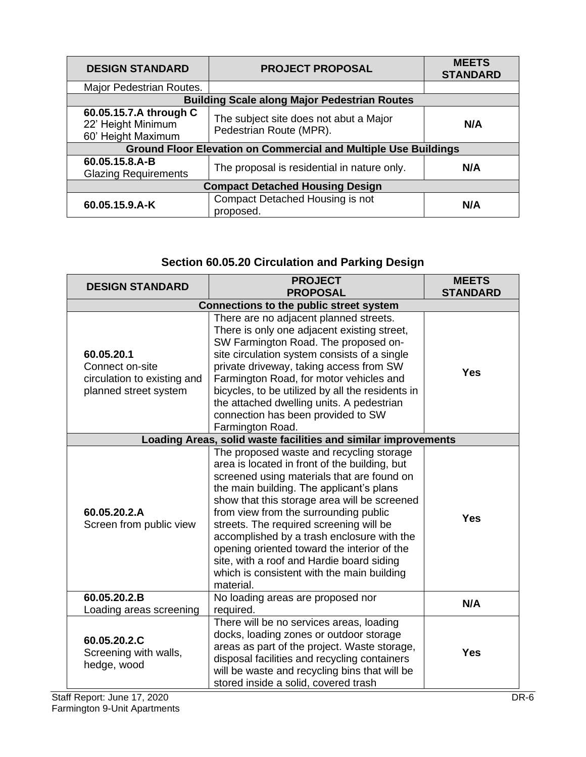| <b>DESIGN STANDARD</b>                                             | <b>PROJECT PROPOSAL</b>                                                | <b>MEETS</b><br><b>STANDARD</b> |  |
|--------------------------------------------------------------------|------------------------------------------------------------------------|---------------------------------|--|
| Major Pedestrian Routes.                                           |                                                                        |                                 |  |
|                                                                    | <b>Building Scale along Major Pedestrian Routes</b>                    |                                 |  |
| 60.05.15.7.A through C<br>22' Height Minimum<br>60' Height Maximum | The subject site does not abut a Major<br>Pedestrian Route (MPR).      | N/A                             |  |
|                                                                    | <b>Ground Floor Elevation on Commercial and Multiple Use Buildings</b> |                                 |  |
| 60.05.15.8.A-B<br><b>Glazing Requirements</b>                      | The proposal is residential in nature only.                            | N/A                             |  |
| <b>Compact Detached Housing Design</b>                             |                                                                        |                                 |  |
| 60.05.15.9.A-K                                                     | Compact Detached Housing is not<br>proposed.                           | N/A                             |  |

# **Section 60.05.20 Circulation and Parking Design**

| <b>DESIGN STANDARD</b>                                                                | <b>PROJECT</b><br><b>PROPOSAL</b>                                                                                                                                                                                                                                                                                                                                                                                                                                                                                            | <b>MEETS</b><br><b>STANDARD</b> |  |
|---------------------------------------------------------------------------------------|------------------------------------------------------------------------------------------------------------------------------------------------------------------------------------------------------------------------------------------------------------------------------------------------------------------------------------------------------------------------------------------------------------------------------------------------------------------------------------------------------------------------------|---------------------------------|--|
| <b>Connections to the public street system</b>                                        |                                                                                                                                                                                                                                                                                                                                                                                                                                                                                                                              |                                 |  |
| 60.05.20.1<br>Connect on-site<br>circulation to existing and<br>planned street system | There are no adjacent planned streets.<br>There is only one adjacent existing street,<br>SW Farmington Road. The proposed on-<br>site circulation system consists of a single<br>private driveway, taking access from SW<br>Farmington Road, for motor vehicles and<br>bicycles, to be utilized by all the residents in<br>the attached dwelling units. A pedestrian<br>connection has been provided to SW<br>Farmington Road.                                                                                               | <b>Yes</b>                      |  |
|                                                                                       | Loading Areas, solid waste facilities and similar improvements                                                                                                                                                                                                                                                                                                                                                                                                                                                               |                                 |  |
| 60.05.20.2.A<br>Screen from public view                                               | The proposed waste and recycling storage<br>area is located in front of the building, but<br>screened using materials that are found on<br>the main building. The applicant's plans<br>show that this storage area will be screened<br>from view from the surrounding public<br>streets. The required screening will be<br>accomplished by a trash enclosure with the<br>opening oriented toward the interior of the<br>site, with a roof and Hardie board siding<br>which is consistent with the main building<br>material. | <b>Yes</b>                      |  |
| 60.05.20.2.B<br>Loading areas screening                                               | No loading areas are proposed nor<br>required.                                                                                                                                                                                                                                                                                                                                                                                                                                                                               | N/A                             |  |
| 60.05.20.2.C<br>Screening with walls,<br>hedge, wood                                  | There will be no services areas, loading<br>docks, loading zones or outdoor storage<br>areas as part of the project. Waste storage,<br>disposal facilities and recycling containers<br>will be waste and recycling bins that will be<br>stored inside a solid, covered trash                                                                                                                                                                                                                                                 | <b>Yes</b>                      |  |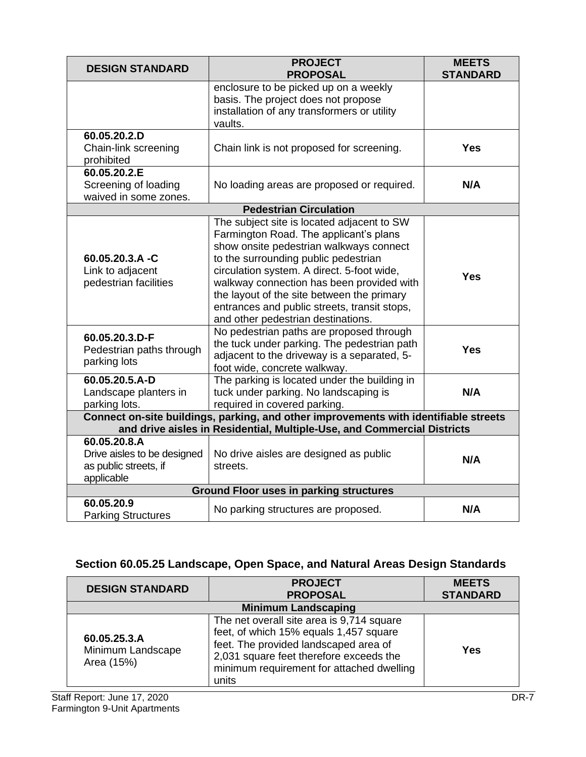| <b>DESIGN STANDARD</b>                                                                                                                                          | <b>PROJECT</b><br><b>PROPOSAL</b>                                                                                                                                                                                           | <b>MEETS</b><br><b>STANDARD</b> |
|-----------------------------------------------------------------------------------------------------------------------------------------------------------------|-----------------------------------------------------------------------------------------------------------------------------------------------------------------------------------------------------------------------------|---------------------------------|
|                                                                                                                                                                 | enclosure to be picked up on a weekly<br>basis. The project does not propose<br>installation of any transformers or utility<br>vaults.                                                                                      |                                 |
| 60.05.20.2.D<br>Chain-link screening<br>prohibited                                                                                                              | Chain link is not proposed for screening.                                                                                                                                                                                   | <b>Yes</b>                      |
| 60.05.20.2.E<br>Screening of loading<br>waived in some zones.                                                                                                   | No loading areas are proposed or required.                                                                                                                                                                                  | N/A                             |
|                                                                                                                                                                 | <b>Pedestrian Circulation</b>                                                                                                                                                                                               |                                 |
| 60.05.20.3.A -C                                                                                                                                                 | The subject site is located adjacent to SW<br>Farmington Road. The applicant's plans<br>show onsite pedestrian walkways connect<br>to the surrounding public pedestrian                                                     |                                 |
| Link to adjacent<br>pedestrian facilities                                                                                                                       | circulation system. A direct. 5-foot wide,<br>walkway connection has been provided with<br>the layout of the site between the primary<br>entrances and public streets, transit stops,<br>and other pedestrian destinations. | <b>Yes</b>                      |
| 60.05.20.3.D-F<br>Pedestrian paths through<br>parking lots                                                                                                      | No pedestrian paths are proposed through<br>the tuck under parking. The pedestrian path<br>adjacent to the driveway is a separated, 5-<br>foot wide, concrete walkway.                                                      | <b>Yes</b>                      |
| 60.05.20.5.A-D<br>Landscape planters in<br>parking lots.                                                                                                        | The parking is located under the building in<br>tuck under parking. No landscaping is<br>required in covered parking.                                                                                                       | N/A                             |
| Connect on-site buildings, parking, and other improvements with identifiable streets<br>and drive aisles in Residential, Multiple-Use, and Commercial Districts |                                                                                                                                                                                                                             |                                 |
| 60.05.20.8.A<br>Drive aisles to be designed<br>as public streets, if<br>applicable                                                                              | No drive aisles are designed as public<br>streets.                                                                                                                                                                          | N/A                             |
| <b>Ground Floor uses in parking structures</b>                                                                                                                  |                                                                                                                                                                                                                             |                                 |
| 60.05.20.9<br><b>Parking Structures</b>                                                                                                                         | No parking structures are proposed.                                                                                                                                                                                         | N/A                             |

# **Section 60.05.25 Landscape, Open Space, and Natural Areas Design Standards**

| <b>DESIGN STANDARD</b>                          | <b>PROJECT</b><br><b>PROPOSAL</b>                                                                                                                                                                                             | <b>MEETS</b><br><b>STANDARD</b> |
|-------------------------------------------------|-------------------------------------------------------------------------------------------------------------------------------------------------------------------------------------------------------------------------------|---------------------------------|
| <b>Minimum Landscaping</b>                      |                                                                                                                                                                                                                               |                                 |
| 60.05.25.3.A<br>Minimum Landscape<br>Area (15%) | The net overall site area is 9,714 square<br>feet, of which 15% equals 1,457 square<br>feet. The provided landscaped area of<br>2,031 square feet therefore exceeds the<br>minimum requirement for attached dwelling<br>units | <b>Yes</b>                      |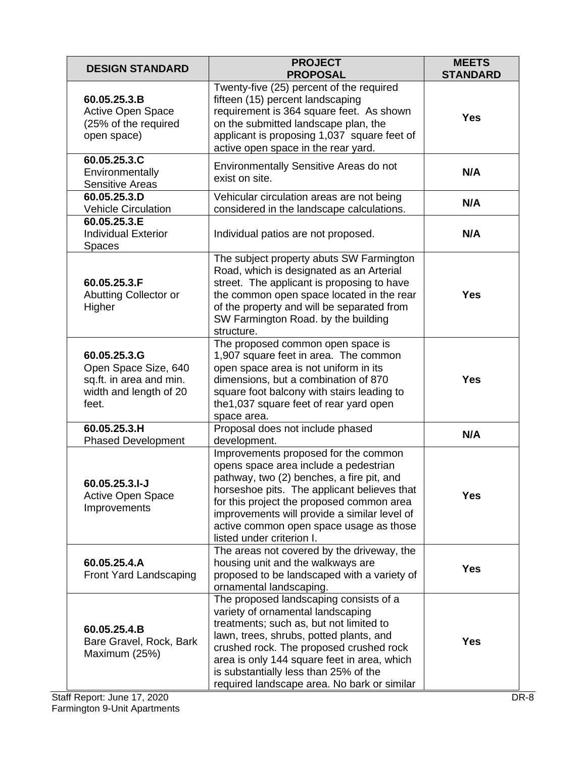| <b>DESIGN STANDARD</b>                                                                             | <b>PROJECT</b><br><b>PROPOSAL</b>                                                                                                                                                                                                                                                                                                                   | <b>MEETS</b><br><b>STANDARD</b> |
|----------------------------------------------------------------------------------------------------|-----------------------------------------------------------------------------------------------------------------------------------------------------------------------------------------------------------------------------------------------------------------------------------------------------------------------------------------------------|---------------------------------|
| 60.05.25.3.B<br>Active Open Space<br>(25% of the required<br>open space)                           | Twenty-five (25) percent of the required<br>fifteen (15) percent landscaping<br>requirement is 364 square feet. As shown<br>on the submitted landscape plan, the<br>applicant is proposing 1,037 square feet of<br>active open space in the rear yard.                                                                                              | <b>Yes</b>                      |
| 60.05.25.3.C<br>Environmentally<br><b>Sensitive Areas</b>                                          | Environmentally Sensitive Areas do not<br>exist on site.                                                                                                                                                                                                                                                                                            | N/A                             |
| 60.05.25.3.D<br><b>Vehicle Circulation</b>                                                         | Vehicular circulation areas are not being<br>considered in the landscape calculations.                                                                                                                                                                                                                                                              | N/A                             |
| 60.05.25.3.E<br><b>Individual Exterior</b><br>Spaces                                               | Individual patios are not proposed.                                                                                                                                                                                                                                                                                                                 | N/A                             |
| 60.05.25.3.F<br>Abutting Collector or<br>Higher                                                    | The subject property abuts SW Farmington<br>Road, which is designated as an Arterial<br>street. The applicant is proposing to have<br>the common open space located in the rear<br>of the property and will be separated from<br>SW Farmington Road. by the building<br>structure.                                                                  | <b>Yes</b>                      |
| 60.05.25.3.G<br>Open Space Size, 640<br>sq.ft. in area and min.<br>width and length of 20<br>feet. | The proposed common open space is<br>1,907 square feet in area. The common<br>open space area is not uniform in its<br>dimensions, but a combination of 870<br>square foot balcony with stairs leading to<br>the 1,037 square feet of rear yard open<br>space area.                                                                                 | <b>Yes</b>                      |
| 60.05.25.3.H<br><b>Phased Development</b>                                                          | Proposal does not include phased<br>development.                                                                                                                                                                                                                                                                                                    | N/A                             |
| 60.05.25.3.I-J<br><b>Active Open Space</b><br>Improvements                                         | Improvements proposed for the common<br>opens space area include a pedestrian<br>pathway, two (2) benches, a fire pit, and<br>horseshoe pits. The applicant believes that<br>for this project the proposed common area<br>improvements will provide a similar level of<br>active common open space usage as those<br>listed under criterion I.      | <b>Yes</b>                      |
| 60.05.25.4.A<br><b>Front Yard Landscaping</b>                                                      | The areas not covered by the driveway, the<br>housing unit and the walkways are<br>proposed to be landscaped with a variety of<br>ornamental landscaping.                                                                                                                                                                                           | <b>Yes</b>                      |
| 60.05.25.4.B<br>Bare Gravel, Rock, Bark<br>Maximum (25%)                                           | The proposed landscaping consists of a<br>variety of ornamental landscaping<br>treatments; such as, but not limited to<br>lawn, trees, shrubs, potted plants, and<br>crushed rock. The proposed crushed rock<br>area is only 144 square feet in area, which<br>is substantially less than 25% of the<br>required landscape area. No bark or similar | Yes                             |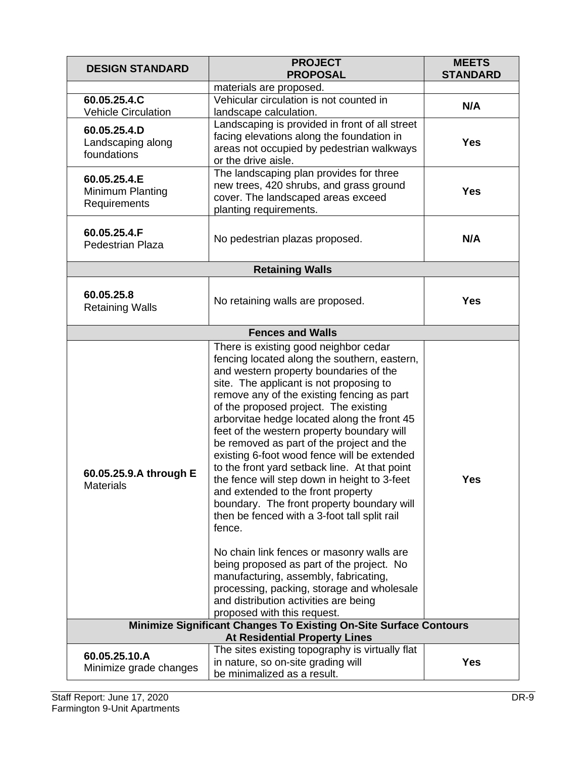| <b>DESIGN STANDARD</b>                                                                                    | <b>PROJECT</b><br><b>PROPOSAL</b>                                                                                                                                                                                                                                                                                                                                                                                                                                                                                                                                                                                                                                                                         | <b>MEETS</b><br><b>STANDARD</b> |
|-----------------------------------------------------------------------------------------------------------|-----------------------------------------------------------------------------------------------------------------------------------------------------------------------------------------------------------------------------------------------------------------------------------------------------------------------------------------------------------------------------------------------------------------------------------------------------------------------------------------------------------------------------------------------------------------------------------------------------------------------------------------------------------------------------------------------------------|---------------------------------|
|                                                                                                           | materials are proposed.                                                                                                                                                                                                                                                                                                                                                                                                                                                                                                                                                                                                                                                                                   |                                 |
| 60.05.25.4.C                                                                                              | Vehicular circulation is not counted in                                                                                                                                                                                                                                                                                                                                                                                                                                                                                                                                                                                                                                                                   | N/A                             |
| <b>Vehicle Circulation</b>                                                                                | landscape calculation.                                                                                                                                                                                                                                                                                                                                                                                                                                                                                                                                                                                                                                                                                    |                                 |
| 60.05.25.4.D<br>Landscaping along<br>foundations                                                          | Landscaping is provided in front of all street<br>facing elevations along the foundation in<br>areas not occupied by pedestrian walkways<br>or the drive aisle.                                                                                                                                                                                                                                                                                                                                                                                                                                                                                                                                           | <b>Yes</b>                      |
| 60.05.25.4.E<br>Minimum Planting<br>Requirements                                                          | The landscaping plan provides for three<br>new trees, 420 shrubs, and grass ground<br>cover. The landscaped areas exceed<br>planting requirements.                                                                                                                                                                                                                                                                                                                                                                                                                                                                                                                                                        | <b>Yes</b>                      |
| 60.05.25.4.F<br>Pedestrian Plaza                                                                          | No pedestrian plazas proposed.                                                                                                                                                                                                                                                                                                                                                                                                                                                                                                                                                                                                                                                                            | N/A                             |
|                                                                                                           | <b>Retaining Walls</b>                                                                                                                                                                                                                                                                                                                                                                                                                                                                                                                                                                                                                                                                                    |                                 |
| 60.05.25.8<br><b>Retaining Walls</b>                                                                      | No retaining walls are proposed.                                                                                                                                                                                                                                                                                                                                                                                                                                                                                                                                                                                                                                                                          | <b>Yes</b>                      |
|                                                                                                           | <b>Fences and Walls</b>                                                                                                                                                                                                                                                                                                                                                                                                                                                                                                                                                                                                                                                                                   |                                 |
| 60.05.25.9.A through E<br><b>Materials</b>                                                                | There is existing good neighbor cedar<br>fencing located along the southern, eastern,<br>and western property boundaries of the<br>site. The applicant is not proposing to<br>remove any of the existing fencing as part<br>of the proposed project. The existing<br>arborvitae hedge located along the front 45<br>feet of the western property boundary will<br>be removed as part of the project and the<br>existing 6-foot wood fence will be extended<br>to the front yard setback line. At that point<br>the fence will step down in height to 3-feet<br>and extended to the front property<br>boundary. The front property boundary will<br>then be fenced with a 3-foot tall split rail<br>fence. | Yes                             |
|                                                                                                           | No chain link fences or masonry walls are<br>being proposed as part of the project. No<br>manufacturing, assembly, fabricating,<br>processing, packing, storage and wholesale<br>and distribution activities are being<br>proposed with this request.                                                                                                                                                                                                                                                                                                                                                                                                                                                     |                                 |
| Minimize Significant Changes To Existing On-Site Surface Contours<br><b>At Residential Property Lines</b> |                                                                                                                                                                                                                                                                                                                                                                                                                                                                                                                                                                                                                                                                                                           |                                 |
| The sites existing topography is virtually flat                                                           |                                                                                                                                                                                                                                                                                                                                                                                                                                                                                                                                                                                                                                                                                                           |                                 |
| 60.05.25.10.A<br>Minimize grade changes                                                                   | in nature, so on-site grading will<br>be minimalized as a result.                                                                                                                                                                                                                                                                                                                                                                                                                                                                                                                                                                                                                                         | <b>Yes</b>                      |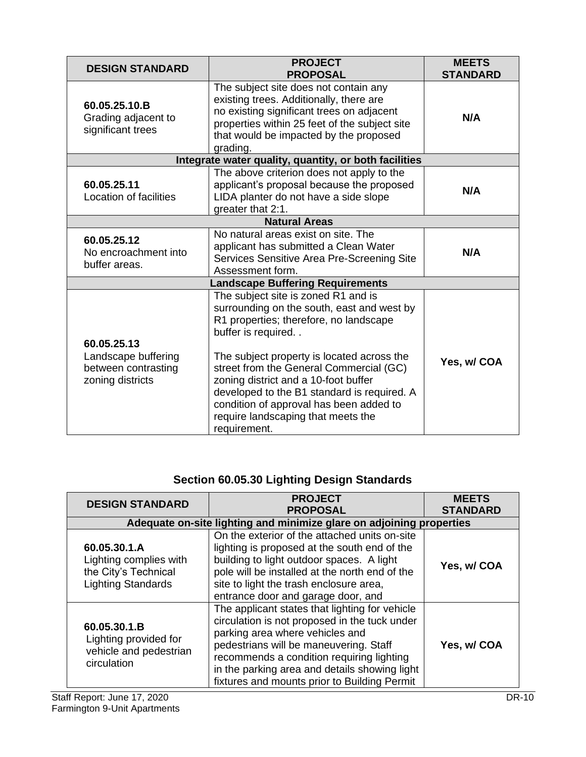| <b>DESIGN STANDARD</b>                                                        | <b>PROJECT</b><br><b>PROPOSAL</b>                                                                                                                                                                                                                                                                                                                                                                                                  | <b>MEETS</b><br><b>STANDARD</b> |
|-------------------------------------------------------------------------------|------------------------------------------------------------------------------------------------------------------------------------------------------------------------------------------------------------------------------------------------------------------------------------------------------------------------------------------------------------------------------------------------------------------------------------|---------------------------------|
| 60.05.25.10.B<br>Grading adjacent to<br>significant trees                     | The subject site does not contain any<br>existing trees. Additionally, there are<br>no existing significant trees on adjacent<br>properties within 25 feet of the subject site<br>that would be impacted by the proposed<br>grading.                                                                                                                                                                                               | N/A                             |
|                                                                               | Integrate water quality, quantity, or both facilities                                                                                                                                                                                                                                                                                                                                                                              |                                 |
| 60.05.25.11<br>Location of facilities                                         | The above criterion does not apply to the<br>applicant's proposal because the proposed<br>LIDA planter do not have a side slope<br>greater that 2:1.                                                                                                                                                                                                                                                                               | N/A                             |
|                                                                               | <b>Natural Areas</b>                                                                                                                                                                                                                                                                                                                                                                                                               |                                 |
| 60.05.25.12<br>No encroachment into<br>buffer areas.                          | No natural areas exist on site. The<br>applicant has submitted a Clean Water<br>Services Sensitive Area Pre-Screening Site<br>Assessment form.                                                                                                                                                                                                                                                                                     | N/A                             |
|                                                                               | <b>Landscape Buffering Requirements</b>                                                                                                                                                                                                                                                                                                                                                                                            |                                 |
| 60.05.25.13<br>Landscape buffering<br>between contrasting<br>zoning districts | The subject site is zoned R1 and is<br>surrounding on the south, east and west by<br>R1 properties; therefore, no landscape<br>buffer is required<br>The subject property is located across the<br>street from the General Commercial (GC)<br>zoning district and a 10-foot buffer<br>developed to the B1 standard is required. A<br>condition of approval has been added to<br>require landscaping that meets the<br>requirement. | Yes, w/ COA                     |

# **Section 60.05.30 Lighting Design Standards**

| <b>DESIGN STANDARD</b>                                                                      | <b>PROJECT</b><br><b>PROPOSAL</b>                                                                                                                                                                                                                                                                                          | <b>MEETS</b><br><b>STANDARD</b> |
|---------------------------------------------------------------------------------------------|----------------------------------------------------------------------------------------------------------------------------------------------------------------------------------------------------------------------------------------------------------------------------------------------------------------------------|---------------------------------|
| Adequate on-site lighting and minimize glare on adjoining properties                        |                                                                                                                                                                                                                                                                                                                            |                                 |
| 60.05.30.1.A<br>Lighting complies with<br>the City's Technical<br><b>Lighting Standards</b> | On the exterior of the attached units on-site<br>lighting is proposed at the south end of the<br>building to light outdoor spaces. A light<br>pole will be installed at the north end of the<br>site to light the trash enclosure area,<br>entrance door and garage door, and                                              | Yes, w/ COA                     |
| 60.05.30.1.B<br>Lighting provided for<br>vehicle and pedestrian<br>circulation              | The applicant states that lighting for vehicle<br>circulation is not proposed in the tuck under<br>parking area where vehicles and<br>pedestrians will be maneuvering. Staff<br>recommends a condition requiring lighting<br>in the parking area and details showing light<br>fixtures and mounts prior to Building Permit | Yes, w/ COA                     |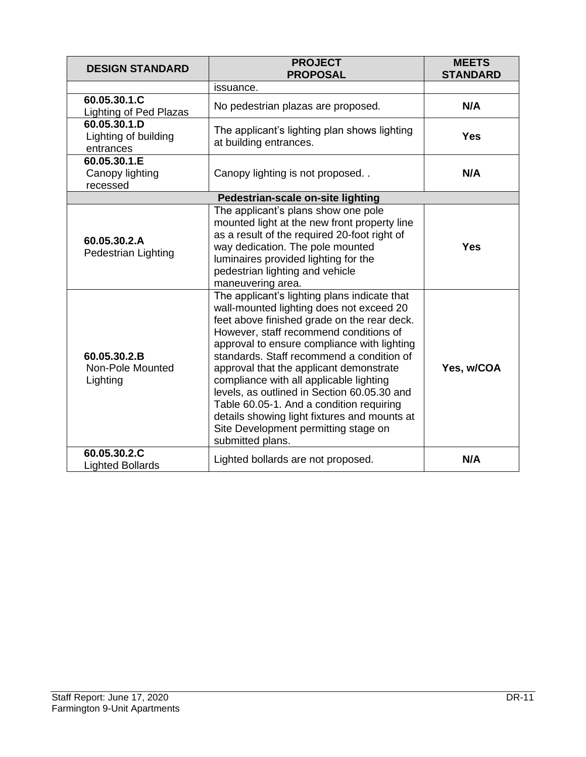| <b>DESIGN STANDARD</b>                            | <b>PROJECT</b><br><b>PROPOSAL</b>                                                                                                                                                                                                                                                                                                                                                                                                                                                                                                                                          | <b>MEETS</b><br><b>STANDARD</b> |
|---------------------------------------------------|----------------------------------------------------------------------------------------------------------------------------------------------------------------------------------------------------------------------------------------------------------------------------------------------------------------------------------------------------------------------------------------------------------------------------------------------------------------------------------------------------------------------------------------------------------------------------|---------------------------------|
|                                                   | issuance.                                                                                                                                                                                                                                                                                                                                                                                                                                                                                                                                                                  |                                 |
| 60.05.30.1.C<br>Lighting of Ped Plazas            | No pedestrian plazas are proposed.                                                                                                                                                                                                                                                                                                                                                                                                                                                                                                                                         | N/A                             |
| 60.05.30.1.D<br>Lighting of building<br>entrances | The applicant's lighting plan shows lighting<br>at building entrances.                                                                                                                                                                                                                                                                                                                                                                                                                                                                                                     | <b>Yes</b>                      |
| 60.05.30.1.E<br>Canopy lighting<br>recessed       | Canopy lighting is not proposed                                                                                                                                                                                                                                                                                                                                                                                                                                                                                                                                            | N/A                             |
|                                                   | Pedestrian-scale on-site lighting                                                                                                                                                                                                                                                                                                                                                                                                                                                                                                                                          |                                 |
| 60.05.30.2.A<br>Pedestrian Lighting               | The applicant's plans show one pole<br>mounted light at the new front property line<br>as a result of the required 20-foot right of<br>way dedication. The pole mounted<br>luminaires provided lighting for the<br>pedestrian lighting and vehicle<br>maneuvering area.                                                                                                                                                                                                                                                                                                    | <b>Yes</b>                      |
| 60.05.30.2.B<br>Non-Pole Mounted<br>Lighting      | The applicant's lighting plans indicate that<br>wall-mounted lighting does not exceed 20<br>feet above finished grade on the rear deck.<br>However, staff recommend conditions of<br>approval to ensure compliance with lighting<br>standards. Staff recommend a condition of<br>approval that the applicant demonstrate<br>compliance with all applicable lighting<br>levels, as outlined in Section 60.05.30 and<br>Table 60.05-1. And a condition requiring<br>details showing light fixtures and mounts at<br>Site Development permitting stage on<br>submitted plans. | Yes, w/COA                      |
| 60.05.30.2.C<br><b>Lighted Bollards</b>           | Lighted bollards are not proposed.                                                                                                                                                                                                                                                                                                                                                                                                                                                                                                                                         | N/A                             |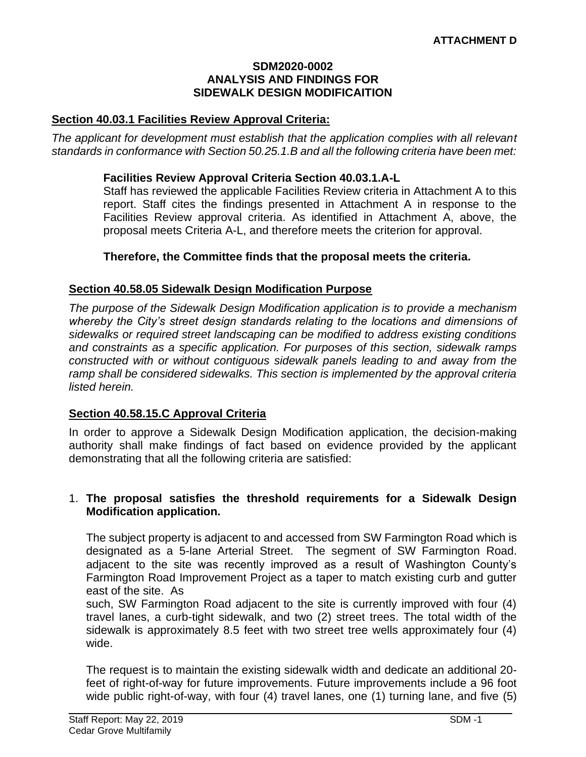#### **SDM2020-0002 ANALYSIS AND FINDINGS FOR SIDEWALK DESIGN MODIFICAITION**

### **Section 40.03.1 Facilities Review Approval Criteria:**

*The applicant for development must establish that the application complies with all relevant standards in conformance with Section 50.25.1.B and all the following criteria have been met:* 

#### **Facilities Review Approval Criteria Section 40.03.1.A-L**

Staff has reviewed the applicable Facilities Review criteria in Attachment A to this report. Staff cites the findings presented in Attachment A in response to the Facilities Review approval criteria. As identified in Attachment A, above, the proposal meets Criteria A-L, and therefore meets the criterion for approval.

### **Therefore, the Committee finds that the proposal meets the criteria.**

### **Section 40.58.05 Sidewalk Design Modification Purpose**

*The purpose of the Sidewalk Design Modification application is to provide a mechanism whereby the City's street design standards relating to the locations and dimensions of sidewalks or required street landscaping can be modified to address existing conditions and constraints as a specific application. For purposes of this section, sidewalk ramps constructed with or without contiguous sidewalk panels leading to and away from the ramp shall be considered sidewalks. This section is implemented by the approval criteria listed herein.*

### **Section 40.58.15.C Approval Criteria**

In order to approve a Sidewalk Design Modification application, the decision-making authority shall make findings of fact based on evidence provided by the applicant demonstrating that all the following criteria are satisfied:

#### 1. **The proposal satisfies the threshold requirements for a Sidewalk Design Modification application.**

The subject property is adjacent to and accessed from SW Farmington Road which is designated as a 5-lane Arterial Street. The segment of SW Farmington Road. adjacent to the site was recently improved as a result of Washington County's Farmington Road Improvement Project as a taper to match existing curb and gutter east of the site. As

such, SW Farmington Road adjacent to the site is currently improved with four (4) travel lanes, a curb-tight sidewalk, and two (2) street trees. The total width of the sidewalk is approximately 8.5 feet with two street tree wells approximately four (4) wide.

The request is to maintain the existing sidewalk width and dedicate an additional 20 feet of right-of-way for future improvements. Future improvements include a 96 foot wide public right-of-way, with four (4) travel lanes, one (1) turning lane, and five (5)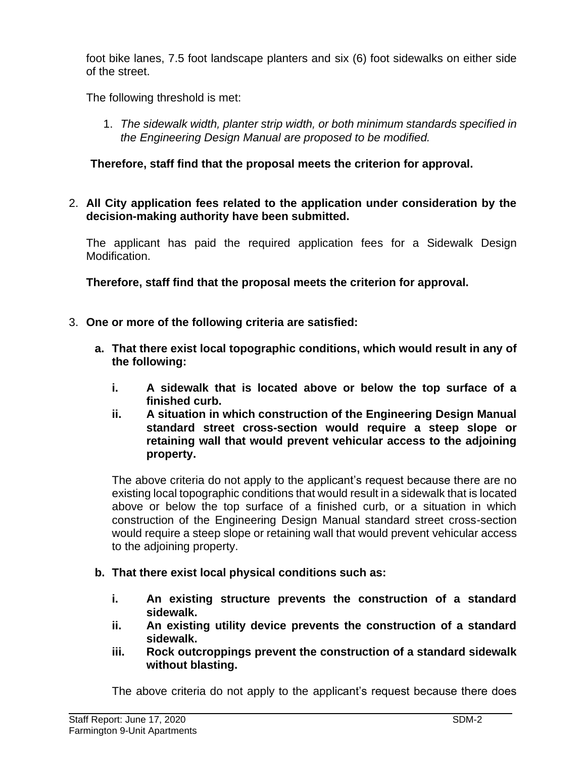foot bike lanes, 7.5 foot landscape planters and six (6) foot sidewalks on either side of the street.

The following threshold is met:

1. *The sidewalk width, planter strip width, or both minimum standards specified in the Engineering Design Manual are proposed to be modified.*

### **Therefore, staff find that the proposal meets the criterion for approval.**

2. **All City application fees related to the application under consideration by the decision-making authority have been submitted.**

The applicant has paid the required application fees for a Sidewalk Design Modification.

**Therefore, staff find that the proposal meets the criterion for approval.**

- 3. **One or more of the following criteria are satisfied:**
	- **a. That there exist local topographic conditions, which would result in any of the following:**
		- **i. A sidewalk that is located above or below the top surface of a finished curb.**
		- **ii. A situation in which construction of the Engineering Design Manual standard street cross-section would require a steep slope or retaining wall that would prevent vehicular access to the adjoining property.**

The above criteria do not apply to the applicant's request because there are no existing local topographic conditions that would result in a sidewalk that is located above or below the top surface of a finished curb, or a situation in which construction of the Engineering Design Manual standard street cross-section would require a steep slope or retaining wall that would prevent vehicular access to the adjoining property.

- **b. That there exist local physical conditions such as:**
	- **i. An existing structure prevents the construction of a standard sidewalk.**
	- **ii. An existing utility device prevents the construction of a standard sidewalk.**
	- **iii. Rock outcroppings prevent the construction of a standard sidewalk without blasting.**

The above criteria do not apply to the applicant's request because there does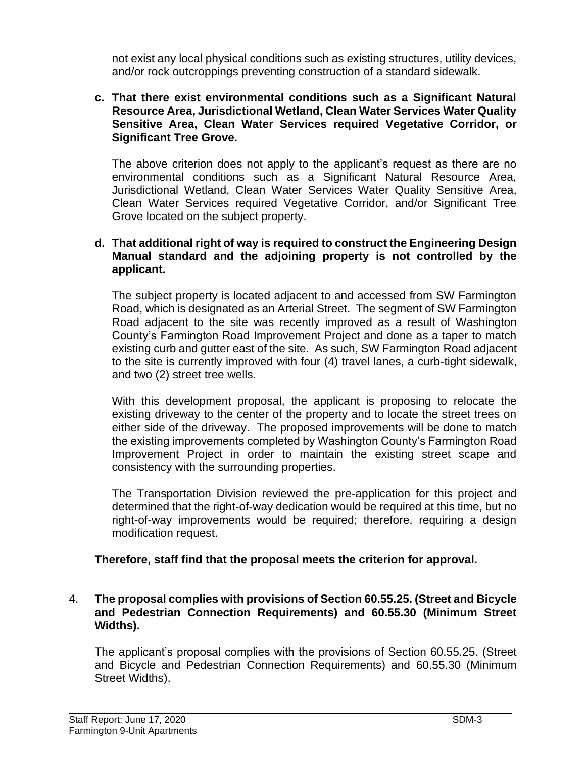not exist any local physical conditions such as existing structures, utility devices, and/or rock outcroppings preventing construction of a standard sidewalk.

#### **c. That there exist environmental conditions such as a Significant Natural Resource Area, Jurisdictional Wetland, Clean Water Services Water Quality Sensitive Area, Clean Water Services required Vegetative Corridor, or Significant Tree Grove.**

The above criterion does not apply to the applicant's request as there are no environmental conditions such as a Significant Natural Resource Area, Jurisdictional Wetland, Clean Water Services Water Quality Sensitive Area, Clean Water Services required Vegetative Corridor, and/or Significant Tree Grove located on the subject property.

### **d. That additional right of way is required to construct the Engineering Design Manual standard and the adjoining property is not controlled by the applicant.**

The subject property is located adjacent to and accessed from SW Farmington Road, which is designated as an Arterial Street. The segment of SW Farmington Road adjacent to the site was recently improved as a result of Washington County's Farmington Road Improvement Project and done as a taper to match existing curb and gutter east of the site. As such, SW Farmington Road adjacent to the site is currently improved with four (4) travel lanes, a curb-tight sidewalk, and two (2) street tree wells.

With this development proposal, the applicant is proposing to relocate the existing driveway to the center of the property and to locate the street trees on either side of the driveway. The proposed improvements will be done to match the existing improvements completed by Washington County's Farmington Road Improvement Project in order to maintain the existing street scape and consistency with the surrounding properties.

The Transportation Division reviewed the pre-application for this project and determined that the right-of-way dedication would be required at this time, but no right-of-way improvements would be required; therefore, requiring a design modification request.

### **Therefore, staff find that the proposal meets the criterion for approval.**

### 4. **The proposal complies with provisions of Section 60.55.25. (Street and Bicycle and Pedestrian Connection Requirements) and 60.55.30 (Minimum Street Widths).**

The applicant's proposal complies with the provisions of Section 60.55.25. (Street and Bicycle and Pedestrian Connection Requirements) and 60.55.30 (Minimum Street Widths).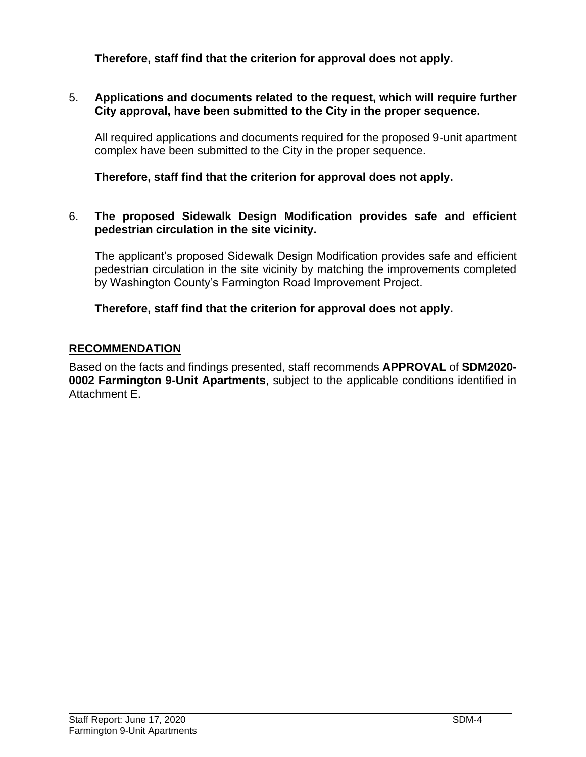**Therefore, staff find that the criterion for approval does not apply.**

### 5. **Applications and documents related to the request, which will require further City approval, have been submitted to the City in the proper sequence.**

All required applications and documents required for the proposed 9-unit apartment complex have been submitted to the City in the proper sequence.

**Therefore, staff find that the criterion for approval does not apply.**

#### 6. **The proposed Sidewalk Design Modification provides safe and efficient pedestrian circulation in the site vicinity.**

The applicant's proposed Sidewalk Design Modification provides safe and efficient pedestrian circulation in the site vicinity by matching the improvements completed by Washington County's Farmington Road Improvement Project.

### **Therefore, staff find that the criterion for approval does not apply.**

### **RECOMMENDATION**

Based on the facts and findings presented, staff recommends **APPROVAL** of **SDM2020- 0002 Farmington 9-Unit Apartments**, subject to the applicable conditions identified in Attachment E.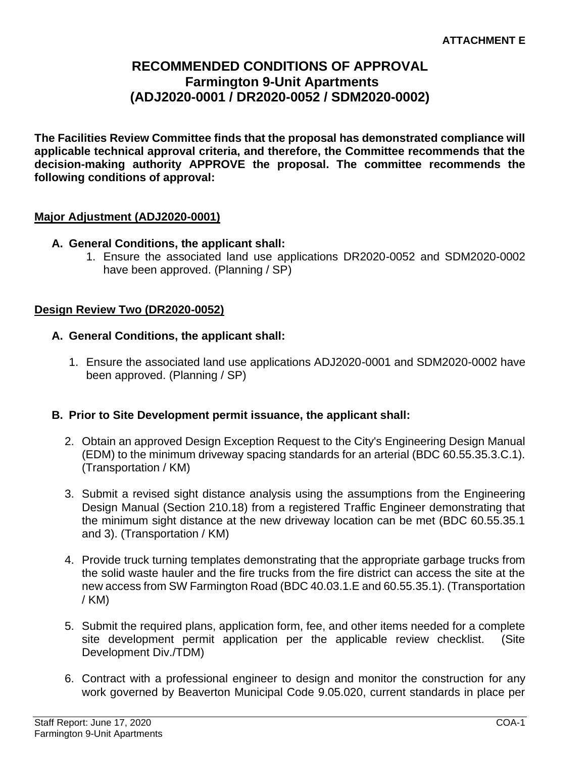# **RECOMMENDED CONDITIONS OF APPROVAL Farmington 9-Unit Apartments (ADJ2020-0001 / DR2020-0052 / SDM2020-0002)**

**The Facilities Review Committee finds that the proposal has demonstrated compliance will applicable technical approval criteria, and therefore, the Committee recommends that the decision-making authority APPROVE the proposal. The committee recommends the following conditions of approval:** 

### **Major Adjustment (ADJ2020-0001)**

### **A. General Conditions, the applicant shall:**

1. Ensure the associated land use applications DR2020-0052 and SDM2020-0002 have been approved. (Planning / SP)

### **Design Review Two (DR2020-0052)**

- **A. General Conditions, the applicant shall:**
	- 1. Ensure the associated land use applications ADJ2020-0001 and SDM2020-0002 have been approved. (Planning / SP)

#### **B. Prior to Site Development permit issuance, the applicant shall:**

- 2. Obtain an approved Design Exception Request to the City's Engineering Design Manual (EDM) to the minimum driveway spacing standards for an arterial (BDC 60.55.35.3.C.1). (Transportation / KM)
- 3. Submit a revised sight distance analysis using the assumptions from the Engineering Design Manual (Section 210.18) from a registered Traffic Engineer demonstrating that the minimum sight distance at the new driveway location can be met (BDC 60.55.35.1 and 3). (Transportation / KM)
- 4. Provide truck turning templates demonstrating that the appropriate garbage trucks from the solid waste hauler and the fire trucks from the fire district can access the site at the new access from SW Farmington Road (BDC 40.03.1.E and 60.55.35.1). (Transportation / KM)
- 5. Submit the required plans, application form, fee, and other items needed for a complete site development permit application per the applicable review checklist. (Site Development Div./TDM)
- 6. Contract with a professional engineer to design and monitor the construction for any work governed by Beaverton Municipal Code 9.05.020, current standards in place per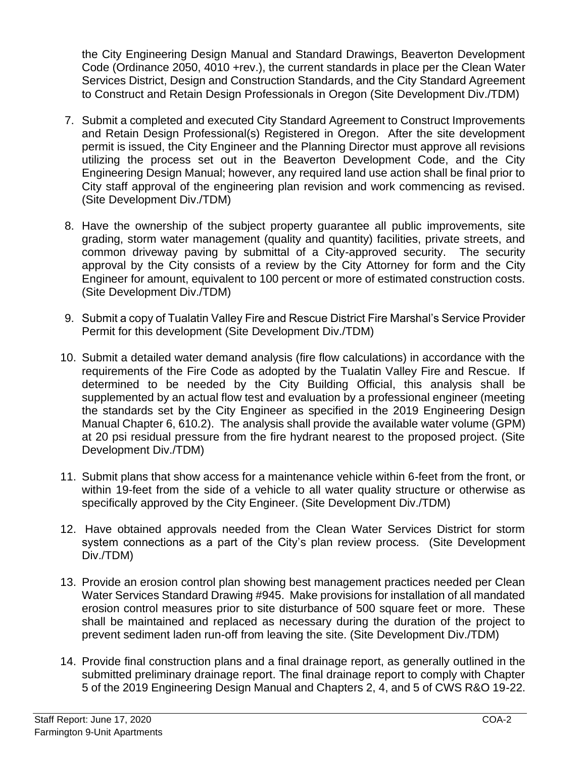the City Engineering Design Manual and Standard Drawings, Beaverton Development Code (Ordinance 2050, 4010 +rev.), the current standards in place per the Clean Water Services District, Design and Construction Standards, and the City Standard Agreement to Construct and Retain Design Professionals in Oregon (Site Development Div./TDM)

- 7. Submit a completed and executed City Standard Agreement to Construct Improvements and Retain Design Professional(s) Registered in Oregon. After the site development permit is issued, the City Engineer and the Planning Director must approve all revisions utilizing the process set out in the Beaverton Development Code, and the City Engineering Design Manual; however, any required land use action shall be final prior to City staff approval of the engineering plan revision and work commencing as revised. (Site Development Div./TDM)
- 8. Have the ownership of the subject property guarantee all public improvements, site grading, storm water management (quality and quantity) facilities, private streets, and common driveway paving by submittal of a City-approved security. The security approval by the City consists of a review by the City Attorney for form and the City Engineer for amount, equivalent to 100 percent or more of estimated construction costs. (Site Development Div./TDM)
- 9. Submit a copy of Tualatin Valley Fire and Rescue District Fire Marshal's Service Provider Permit for this development (Site Development Div./TDM)
- 10. Submit a detailed water demand analysis (fire flow calculations) in accordance with the requirements of the Fire Code as adopted by the Tualatin Valley Fire and Rescue. If determined to be needed by the City Building Official, this analysis shall be supplemented by an actual flow test and evaluation by a professional engineer (meeting the standards set by the City Engineer as specified in the 2019 Engineering Design Manual Chapter 6, 610.2). The analysis shall provide the available water volume (GPM) at 20 psi residual pressure from the fire hydrant nearest to the proposed project. (Site Development Div./TDM)
- 11. Submit plans that show access for a maintenance vehicle within 6-feet from the front, or within 19-feet from the side of a vehicle to all water quality structure or otherwise as specifically approved by the City Engineer. (Site Development Div./TDM)
- 12. Have obtained approvals needed from the Clean Water Services District for storm system connections as a part of the City's plan review process. (Site Development Div./TDM)
- 13. Provide an erosion control plan showing best management practices needed per Clean Water Services Standard Drawing #945. Make provisions for installation of all mandated erosion control measures prior to site disturbance of 500 square feet or more. These shall be maintained and replaced as necessary during the duration of the project to prevent sediment laden run-off from leaving the site. (Site Development Div./TDM)
- 14. Provide final construction plans and a final drainage report, as generally outlined in the submitted preliminary drainage report. The final drainage report to comply with Chapter 5 of the 2019 Engineering Design Manual and Chapters 2, 4, and 5 of CWS R&O 19-22.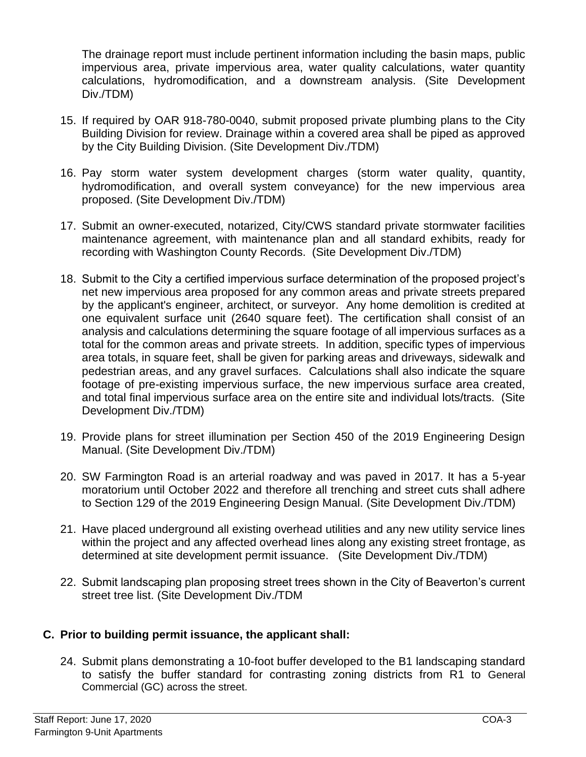The drainage report must include pertinent information including the basin maps, public impervious area, private impervious area, water quality calculations, water quantity calculations, hydromodification, and a downstream analysis. (Site Development Div./TDM)

- 15. If required by OAR 918-780-0040, submit proposed private plumbing plans to the City Building Division for review. Drainage within a covered area shall be piped as approved by the City Building Division. (Site Development Div./TDM)
- 16. Pay storm water system development charges (storm water quality, quantity, hydromodification, and overall system conveyance) for the new impervious area proposed. (Site Development Div./TDM)
- 17. Submit an owner-executed, notarized, City/CWS standard private stormwater facilities maintenance agreement, with maintenance plan and all standard exhibits, ready for recording with Washington County Records. (Site Development Div./TDM)
- 18. Submit to the City a certified impervious surface determination of the proposed project's net new impervious area proposed for any common areas and private streets prepared by the applicant's engineer, architect, or surveyor. Any home demolition is credited at one equivalent surface unit (2640 square feet). The certification shall consist of an analysis and calculations determining the square footage of all impervious surfaces as a total for the common areas and private streets. In addition, specific types of impervious area totals, in square feet, shall be given for parking areas and driveways, sidewalk and pedestrian areas, and any gravel surfaces. Calculations shall also indicate the square footage of pre-existing impervious surface, the new impervious surface area created, and total final impervious surface area on the entire site and individual lots/tracts. (Site Development Div./TDM)
- 19. Provide plans for street illumination per Section 450 of the 2019 Engineering Design Manual. (Site Development Div./TDM)
- 20. SW Farmington Road is an arterial roadway and was paved in 2017. It has a 5-year moratorium until October 2022 and therefore all trenching and street cuts shall adhere to Section 129 of the 2019 Engineering Design Manual. (Site Development Div./TDM)
- 21. Have placed underground all existing overhead utilities and any new utility service lines within the project and any affected overhead lines along any existing street frontage, as determined at site development permit issuance. (Site Development Div./TDM)
- 22. Submit landscaping plan proposing street trees shown in the City of Beaverton's current street tree list. (Site Development Div./TDM

### **C. Prior to building permit issuance, the applicant shall:**

24. Submit plans demonstrating a 10-foot buffer developed to the B1 landscaping standard to satisfy the buffer standard for contrasting zoning districts from R1 to General Commercial (GC) across the street.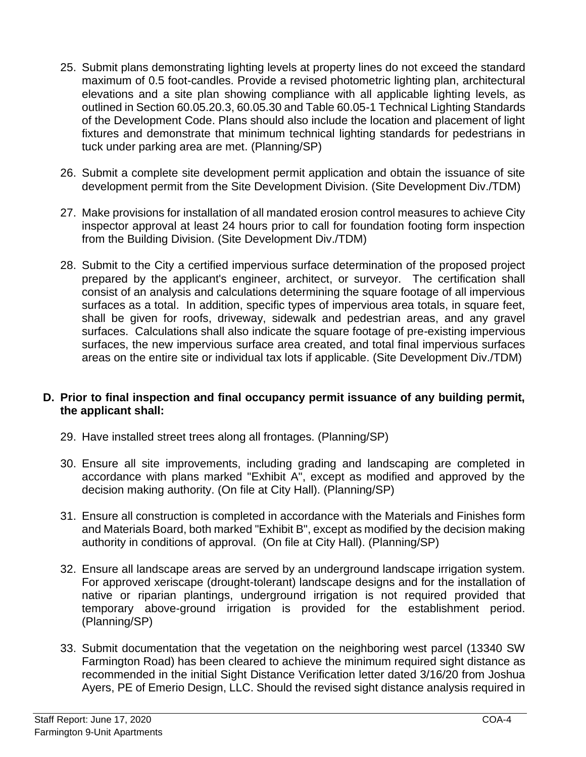- 25. Submit plans demonstrating lighting levels at property lines do not exceed the standard maximum of 0.5 foot-candles. Provide a revised photometric lighting plan, architectural elevations and a site plan showing compliance with all applicable lighting levels, as outlined in Section 60.05.20.3, 60.05.30 and Table 60.05-1 Technical Lighting Standards of the Development Code. Plans should also include the location and placement of light fixtures and demonstrate that minimum technical lighting standards for pedestrians in tuck under parking area are met. (Planning/SP)
- 26. Submit a complete site development permit application and obtain the issuance of site development permit from the Site Development Division. (Site Development Div./TDM)
- 27. Make provisions for installation of all mandated erosion control measures to achieve City inspector approval at least 24 hours prior to call for foundation footing form inspection from the Building Division. (Site Development Div./TDM)
- 28. Submit to the City a certified impervious surface determination of the proposed project prepared by the applicant's engineer, architect, or surveyor. The certification shall consist of an analysis and calculations determining the square footage of all impervious surfaces as a total. In addition, specific types of impervious area totals, in square feet, shall be given for roofs, driveway, sidewalk and pedestrian areas, and any gravel surfaces. Calculations shall also indicate the square footage of pre-existing impervious surfaces, the new impervious surface area created, and total final impervious surfaces areas on the entire site or individual tax lots if applicable. (Site Development Div./TDM)

### **D. Prior to final inspection and final occupancy permit issuance of any building permit, the applicant shall:**

- 29. Have installed street trees along all frontages. (Planning/SP)
- 30. Ensure all site improvements, including grading and landscaping are completed in accordance with plans marked "Exhibit A", except as modified and approved by the decision making authority. (On file at City Hall). (Planning/SP)
- 31. Ensure all construction is completed in accordance with the Materials and Finishes form and Materials Board, both marked "Exhibit B", except as modified by the decision making authority in conditions of approval. (On file at City Hall). (Planning/SP)
- 32. Ensure all landscape areas are served by an underground landscape irrigation system. For approved xeriscape (drought-tolerant) landscape designs and for the installation of native or riparian plantings, underground irrigation is not required provided that temporary above-ground irrigation is provided for the establishment period. (Planning/SP)
- 33. Submit documentation that the vegetation on the neighboring west parcel (13340 SW Farmington Road) has been cleared to achieve the minimum required sight distance as recommended in the initial Sight Distance Verification letter dated 3/16/20 from Joshua Ayers, PE of Emerio Design, LLC. Should the revised sight distance analysis required in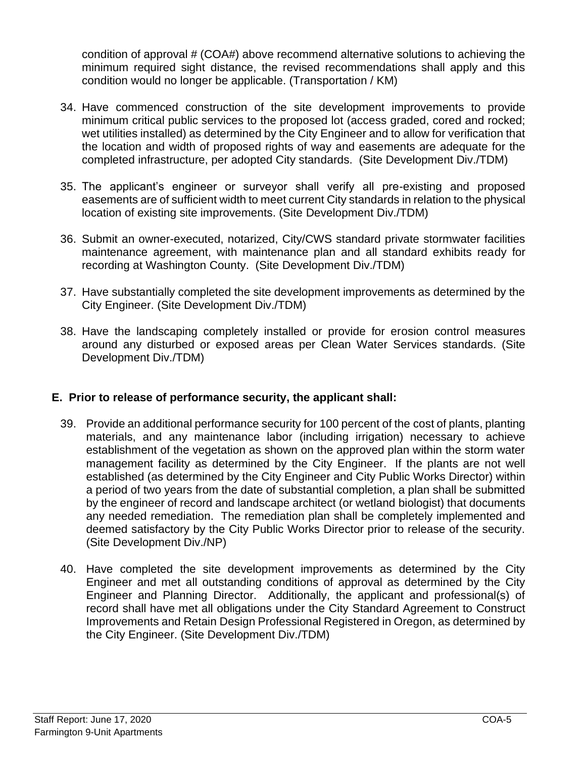condition of approval # (COA#) above recommend alternative solutions to achieving the minimum required sight distance, the revised recommendations shall apply and this condition would no longer be applicable. (Transportation / KM)

- 34. Have commenced construction of the site development improvements to provide minimum critical public services to the proposed lot (access graded, cored and rocked; wet utilities installed) as determined by the City Engineer and to allow for verification that the location and width of proposed rights of way and easements are adequate for the completed infrastructure, per adopted City standards. (Site Development Div./TDM)
- 35. The applicant's engineer or surveyor shall verify all pre-existing and proposed easements are of sufficient width to meet current City standards in relation to the physical location of existing site improvements. (Site Development Div./TDM)
- 36. Submit an owner-executed, notarized, City/CWS standard private stormwater facilities maintenance agreement, with maintenance plan and all standard exhibits ready for recording at Washington County. (Site Development Div./TDM)
- 37. Have substantially completed the site development improvements as determined by the City Engineer. (Site Development Div./TDM)
- 38. Have the landscaping completely installed or provide for erosion control measures around any disturbed or exposed areas per Clean Water Services standards. (Site Development Div./TDM)

### **E. Prior to release of performance security, the applicant shall:**

- 39. Provide an additional performance security for 100 percent of the cost of plants, planting materials, and any maintenance labor (including irrigation) necessary to achieve establishment of the vegetation as shown on the approved plan within the storm water management facility as determined by the City Engineer. If the plants are not well established (as determined by the City Engineer and City Public Works Director) within a period of two years from the date of substantial completion, a plan shall be submitted by the engineer of record and landscape architect (or wetland biologist) that documents any needed remediation. The remediation plan shall be completely implemented and deemed satisfactory by the City Public Works Director prior to release of the security. (Site Development Div./NP)
- 40. Have completed the site development improvements as determined by the City Engineer and met all outstanding conditions of approval as determined by the City Engineer and Planning Director. Additionally, the applicant and professional(s) of record shall have met all obligations under the City Standard Agreement to Construct Improvements and Retain Design Professional Registered in Oregon, as determined by the City Engineer. (Site Development Div./TDM)